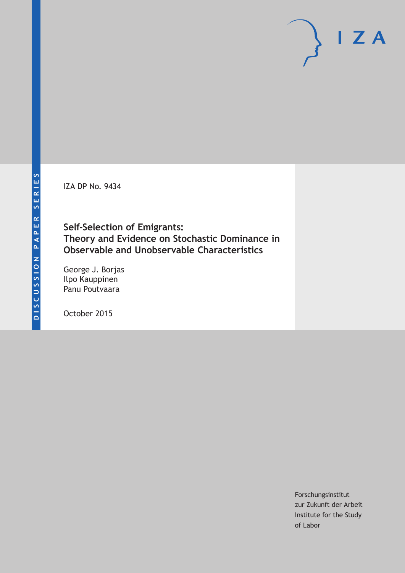IZA DP No. 9434

**Self‐Selection of Emigrants: Theory and Evidence on Stochastic Dominance in Observable and Unobservable Characteristics**

George J. Borjas Ilpo Kauppinen Panu Poutvaara

October 2015

Forschungsinstitut zur Zukunft der Arbeit Institute for the Study of Labor

 $I Z A$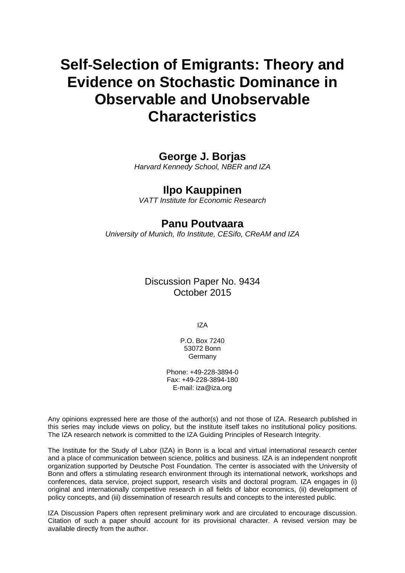# **Self**‐**Selection of Emigrants: Theory and Evidence on Stochastic Dominance in Observable and Unobservable Characteristics**

### **George J. Borjas**

*Harvard Kennedy School, NBER and IZA* 

# **Ilpo Kauppinen**

*VATT Institute for Economic Research* 

### **Panu Poutvaara**

*University of Munich, Ifo Institute, CESifo, CReAM and IZA*

Discussion Paper No. 9434 October 2015

IZA

P.O. Box 7240 53072 Bonn Germany

Phone: +49-228-3894-0 Fax: +49-228-3894-180 E-mail: iza@iza.org

Any opinions expressed here are those of the author(s) and not those of IZA. Research published in this series may include views on policy, but the institute itself takes no institutional policy positions. The IZA research network is committed to the IZA Guiding Principles of Research Integrity.

The Institute for the Study of Labor (IZA) in Bonn is a local and virtual international research center and a place of communication between science, politics and business. IZA is an independent nonprofit organization supported by Deutsche Post Foundation. The center is associated with the University of Bonn and offers a stimulating research environment through its international network, workshops and conferences, data service, project support, research visits and doctoral program. IZA engages in (i) original and internationally competitive research in all fields of labor economics, (ii) development of policy concepts, and (iii) dissemination of research results and concepts to the interested public.

IZA Discussion Papers often represent preliminary work and are circulated to encourage discussion. Citation of such a paper should account for its provisional character. A revised version may be available directly from the author.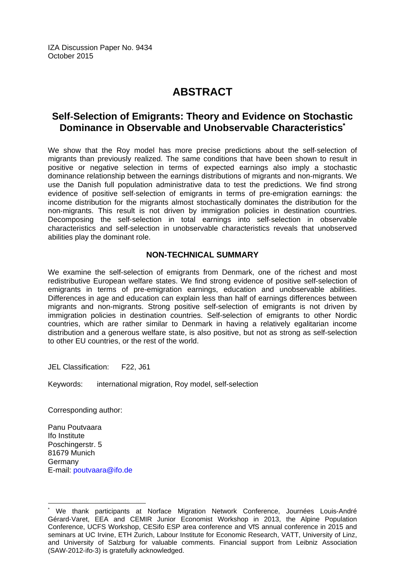IZA Discussion Paper No. 9434 October 2015

# **ABSTRACT**

# **Self**‐**Selection of Emigrants: Theory and Evidence on Stochastic Dominance in Observable and Unobservable Characteristics\***

We show that the Roy model has more precise predictions about the self-selection of migrants than previously realized. The same conditions that have been shown to result in positive or negative selection in terms of expected earnings also imply a stochastic dominance relationship between the earnings distributions of migrants and non-migrants. We use the Danish full population administrative data to test the predictions. We find strong evidence of positive self-selection of emigrants in terms of pre-emigration earnings: the income distribution for the migrants almost stochastically dominates the distribution for the non‐migrants. This result is not driven by immigration policies in destination countries. Decomposing the self-selection in total earnings into self-selection in observable characteristics and self‐selection in unobservable characteristics reveals that unobserved abilities play the dominant role.

### **NON-TECHNICAL SUMMARY**

We examine the self-selection of emigrants from Denmark, one of the richest and most redistributive European welfare states. We find strong evidence of positive self-selection of emigrants in terms of pre-emigration earnings, education and unobservable abilities. Differences in age and education can explain less than half of earnings differences between migrants and non-migrants. Strong positive self-selection of emigrants is not driven by immigration policies in destination countries. Self-selection of emigrants to other Nordic countries, which are rather similar to Denmark in having a relatively egalitarian income distribution and a generous welfare state, is also positive, but not as strong as self-selection to other EU countries, or the rest of the world.

JEL Classification: F22, J61

Keywords: international migration, Roy model, self-selection

Corresponding author:

Panu Poutvaara Ifo Institute Poschingerstr. 5 81679 Munich Germany E-mail: poutvaara@ifo.de

 $\overline{a}$ 

<sup>\*</sup> We thank participants at Norface Migration Network Conference, Journées Louis‐André Gérard‐Varet, EEA and CEMIR Junior Economist Workshop in 2013, the Alpine Population Conference, UCFS Workshop, CESifo ESP area conference and VfS annual conference in 2015 and seminars at UC Irvine, ETH Zurich, Labour Institute for Economic Research, VATT, University of Linz, and University of Salzburg for valuable comments. Financial support from Leibniz Association (SAW‐2012‐ifo‐3) is gratefully acknowledged.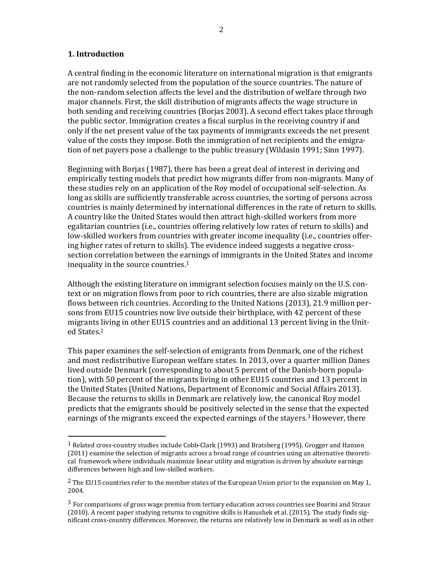#### **1. Introduction**

 

A central finding in the economic literature on international migration is that emigrants are not randomly selected from the population of the source countries. The nature of the non-random selection affects the level and the distribution of welfare through two major channels. First, the skill distribution of migrants affects the wage structure in both sending and receiving countries (Borjas 2003). A second effect takes place through the public sector. Immigration creates a fiscal surplus in the receiving country if and only if the net present value of the tax payments of immigrants exceeds the net present value of the costs they impose. Both the immigration of net recipients and the emigration of net payers pose a challenge to the public treasury (Wildasin 1991; Sinn 1997).

Beginning with Borjas (1987), there has been a great deal of interest in deriving and empirically testing models that predict how migrants differ from non-migrants. Many of these studies rely on an application of the Roy model of occupational self-selection. As long as skills are sufficiently transferable across countries, the sorting of persons across countries is mainly determined by international differences in the rate of return to skills. A country like the United States would then attract high-skilled workers from more egalitarian countries (i.e., countries offering relatively low rates of return to skills) and low-skilled workers from countries with greater income inequality (i.e., countries offering higher rates of return to skills). The evidence indeed suggests a negative crosssection correlation between the earnings of immigrants in the United States and income inequality in the source countries. $<sup>1</sup>$ </sup>

Although the existing literature on immigrant selection focuses mainly on the U.S. context or on migration flows from poor to rich countries, there are also sizable migration flows between rich countries. According to the United Nations  $(2013)$ , 21.9 million persons from EU15 countries now live outside their birthplace, with 42 percent of these migrants living in other EU15 countries and an additional 13 percent living in the United States.2 

This paper examines the self-selection of emigrants from Denmark, one of the richest and most redistributive European welfare states. In 2013, over a quarter million Danes lived outside Denmark (corresponding to about 5 percent of the Danish-born population), with 50 percent of the migrants living in other EU15 countries and 13 percent in the United States (United Nations, Department of Economic and Social Affairs 2013). Because the returns to skills in Denmark are relatively low, the canonical Roy model predicts that the emigrants should be positively selected in the sense that the expected earnings of the migrants exceed the expected earnings of the stayers.<sup>3</sup> However, there

<sup>&</sup>lt;sup>1</sup> Related cross-country studies include Cobb-Clark (1993) and Bratsberg (1995). Grogger and Hanson (2011) examine the selection of migrants across a broad range of countries using an alternative theoretical framework where individuals maximize linear utility and migration is driven by absolute earnings differences between high and low-skilled workers.

<sup>&</sup>lt;sup>2</sup> The EU15 countries refer to the member states of the European Union prior to the expansion on May 1, 2004. 

 $3$  For comparisons of gross wage premia from tertiary education across countries see Boarini and Straus  $(2010)$ . A recent paper studying returns to cognitive skills is Hanushek et al. (2015). The study finds significant cross-country differences. Moreover, the returns are relatively low in Denmark as well as in other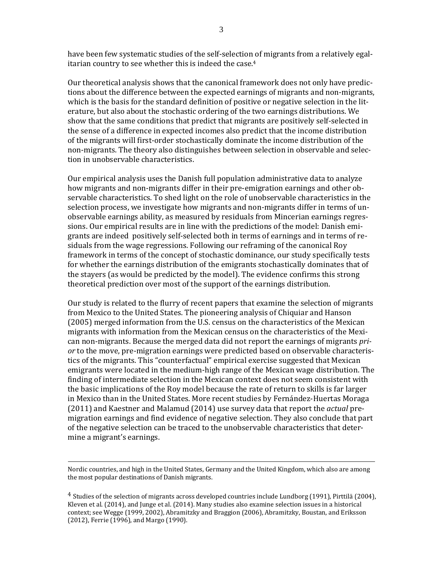have been few systematic studies of the self-selection of migrants from a relatively egalitarian country to see whether this is indeed the case.<sup>4</sup>

Our theoretical analysis shows that the canonical framework does not only have predictions about the difference between the expected earnings of migrants and non-migrants, which is the basis for the standard definition of positive or negative selection in the literature, but also about the stochastic ordering of the two earnings distributions. We show that the same conditions that predict that migrants are positively self-selected in the sense of a difference in expected incomes also predict that the income distribution of the migrants will first-order stochastically dominate the income distribution of the non-migrants. The theory also distinguishes between selection in observable and selection in unobservable characteristics.

Our empirical analysis uses the Danish full population administrative data to analyze how migrants and non-migrants differ in their pre-emigration earnings and other observable characteristics. To shed light on the role of unobservable characteristics in the selection process, we investigate how migrants and non-migrants differ in terms of unobservable earnings ability, as measured by residuals from Mincerian earnings regressions. Our empirical results are in line with the predictions of the model: Danish emigrants are indeed positively self-selected both in terms of earnings and in terms of residuals from the wage regressions. Following our reframing of the canonical Roy framework in terms of the concept of stochastic dominance, our study specifically tests for whether the earnings distribution of the emigrants stochastically dominates that of the stayers (as would be predicted by the model). The evidence confirms this strong theoretical prediction over most of the support of the earnings distribution.

Our study is related to the flurry of recent papers that examine the selection of migrants from Mexico to the United States. The pioneering analysis of Chiquiar and Hanson (2005) merged information from the U.S. census on the characteristics of the Mexican migrants with information from the Mexican census on the characteristics of the Mexican non-migrants. Because the merged data did not report the earnings of migrants *pri* or to the move, pre-migration earnings were predicted based on observable characteristics of the migrants. This "counterfactual" empirical exercise suggested that Mexican emigrants were located in the medium-high range of the Mexican wage distribution. The finding of intermediate selection in the Mexican context does not seem consistent with the basic implications of the Roy model because the rate of return to skills is far larger in Mexico than in the United States. More recent studies by Fernández-Huertas Moraga (2011) and Kaestner and Malamud (2014) use survey data that report the *actual* premigration earnings and find evidence of negative selection. They also conclude that part of the negative selection can be traced to the unobservable characteristics that determine a migrant's earnings.

<u> 2002 - Andrea San Andrew Maria (h. 1888).</u><br>2003 - Andrew Maria (h. 1882).

Nordic countries, and high in the United States, Germany and the United Kingdom, which also are among the most popular destinations of Danish migrants.

 $4$  Studies of the selection of migrants across developed countries include Lundborg (1991), Pirttilä (2004), Kleven et al.  $(2014)$ , and Junge et al.  $(2014)$ . Many studies also examine selection issues in a historical context; see Wegge (1999, 2002), Abramitzky and Braggion (2006), Abramitzky, Boustan, and Eriksson (2012), Ferrie (1996), and Margo (1990).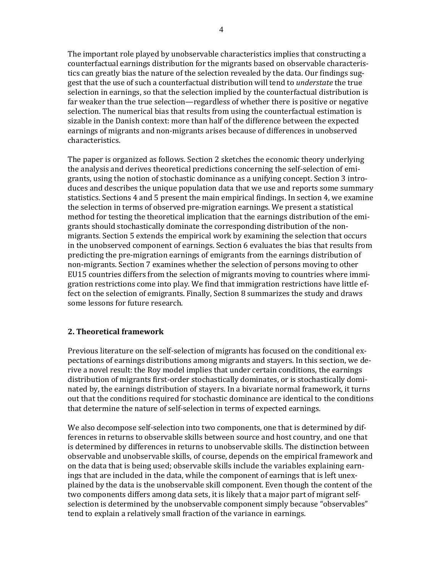The important role played by unobservable characteristics implies that constructing a counterfactual earnings distribution for the migrants based on observable characteristics can greatly bias the nature of the selection revealed by the data. Our findings suggest that the use of such a counterfactual distribution will tend to *understate* the true selection in earnings, so that the selection implied by the counterfactual distribution is far weaker than the true selection—regardless of whether there is positive or negative selection. The numerical bias that results from using the counterfactual estimation is sizable in the Danish context: more than half of the difference between the expected earnings of migrants and non-migrants arises because of differences in unobserved characteristics. 

The paper is organized as follows. Section 2 sketches the economic theory underlying the analysis and derives theoretical predictions concerning the self-selection of emigrants, using the notion of stochastic dominance as a unifying concept. Section 3 introduces and describes the unique population data that we use and reports some summary statistics. Sections 4 and 5 present the main empirical findings. In section 4, we examine the selection in terms of observed pre-migration earnings. We present a statistical method for testing the theoretical implication that the earnings distribution of the emigrants should stochastically dominate the corresponding distribution of the nonmigrants. Section 5 extends the empirical work by examining the selection that occurs in the unobserved component of earnings. Section 6 evaluates the bias that results from predicting the pre-migration earnings of emigrants from the earnings distribution of non-migrants. Section 7 examines whether the selection of persons moving to other EU15 countries differs from the selection of migrants moving to countries where immigration restrictions come into play. We find that immigration restrictions have little effect on the selection of emigrants. Finally, Section 8 summarizes the study and draws some lessons for future research.

#### **2. Theoretical framework**

Previous literature on the self-selection of migrants has focused on the conditional expectations of earnings distributions among migrants and stayers. In this section, we derive a novel result: the Roy model implies that under certain conditions, the earnings distribution of migrants first-order stochastically dominates, or is stochastically dominated by, the earnings distribution of stayers. In a bivariate normal framework, it turns out that the conditions required for stochastic dominance are identical to the conditions that determine the nature of self-selection in terms of expected earnings.

We also decompose self-selection into two components, one that is determined by differences in returns to observable skills between source and host country, and one that is determined by differences in returns to unobservable skills. The distinction between observable and unobservable skills, of course, depends on the empirical framework and on the data that is being used; observable skills include the variables explaining earnings that are included in the data, while the component of earnings that is left unexplained by the data is the unobservable skill component. Even though the content of the two components differs among data sets, it is likely that a major part of migrant selfselection is determined by the unobservable component simply because "observables" tend to explain a relatively small fraction of the variance in earnings.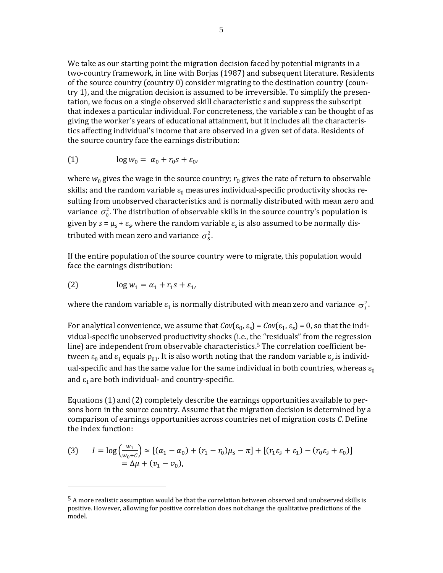We take as our starting point the migration decision faced by potential migrants in a two-country framework, in line with Borjas (1987) and subsequent literature. Residents of the source country (country  $0$ ) consider migrating to the destination country (country 1), and the migration decision is assumed to be irreversible. To simplify the presentation, we focus on a single observed skill characteristic *s* and suppress the subscript that indexes a particular individual. For concreteness, the variable *s* can be thought of as giving the worker's years of educational attainment, but it includes all the characteristics affecting individual's income that are observed in a given set of data. Residents of the source country face the earnings distribution:

$$
(1) \qquad \log w_0 = \alpha_0 + r_0 s + \varepsilon_0,
$$

where  $w_0$  gives the wage in the source country;  $r_0$  gives the rate of return to observable skills; and the random variable  $\varepsilon_0$  measures individual-specific productivity shocks resulting from unobserved characteristics and is normally distributed with mean zero and variance  $\sigma_0^2$ . The distribution of observable skills in the source country's population is given by  $s = \mu_s + \varepsilon_s$ , where the random variable  $\varepsilon_s$  is also assumed to be normally distributed with mean zero and variance  $\sigma_s^2$ .

If the entire population of the source country were to migrate, this population would face the earnings distribution:

$$
(2) \qquad \log w_1 = \alpha_1 + r_1 s + \varepsilon_1,
$$

 

where the random variable  $\varepsilon_1$  is normally distributed with mean zero and variance  $\sigma_1^2$ .

For analytical convenience, we assume that  $Cov(\varepsilon_0, \varepsilon_0) = Cov(\varepsilon_1, \varepsilon_0) = 0$ , so that the individual-specific unobserved productivity shocks (i.e., the "residuals" from the regression line) are independent from observable characteristics.<sup>5</sup> The correlation coefficient between  $\varepsilon_0$  and  $\varepsilon_1$  equals  $\rho_{01}$ . It is also worth noting that the random variable  $\varepsilon_s$  is individual-specific and has the same value for the same individual in both countries, whereas  $\varepsilon_0$ and  $\varepsilon_1$  are both individual- and country-specific.

Equations  $(1)$  and  $(2)$  completely describe the earnings opportunities available to persons born in the source country. Assume that the migration decision is determined by a comparison of earnings opportunities across countries net of migration costs *C*. Define the index function:

(3) 
$$
I = \log \left( \frac{w_1}{w_0 + c} \right) \approx \left[ (\alpha_1 - \alpha_0) + (r_1 - r_0)\mu_s - \pi \right] + \left[ (r_1 \varepsilon_s + \varepsilon_1) - (r_0 \varepsilon_s + \varepsilon_0) \right]
$$
  
=  $\Delta \mu + (v_1 - v_0)$ ,

<sup>&</sup>lt;sup>5</sup> A more realistic assumption would be that the correlation between observed and unobserved skills is positive. However, allowing for positive correlation does not change the qualitative predictions of the model.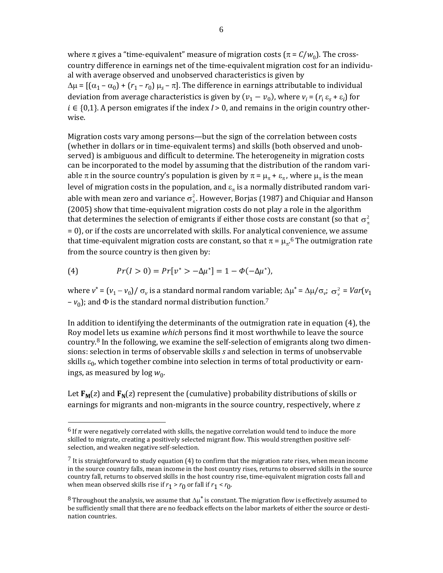where  $\pi$  gives a "time-equivalent" measure of migration costs ( $\pi = C/w_0$ ). The crosscountry difference in earnings net of the time-equivalent migration cost for an individual with average observed and unobserved characteristics is given by  $\Delta \mu = \left[ (\alpha_1 - \alpha_0) + (r_1 - r_0) \mu_s - \pi \right]$ . The difference in earnings attributable to individual deviation from average characteristics is given by  $(v_1 - v_0)$ , where  $v_i = (r_i \varepsilon_s + \varepsilon_i)$  for  $i \in \{0,1\}$ . A person emigrates if the index  $I > 0$ , and remains in the origin country otherwise. 

Migration costs vary among persons—but the sign of the correlation between costs (whether in dollars or in time-equivalent terms) and skills (both observed and unobserved) is ambiguous and difficult to determine. The heterogeneity in migration costs can be incorporated to the model by assuming that the distribution of the random variable  $\pi$  in the source country's population is given by  $\pi = \mu_{\pi} + \varepsilon_{\pi}$ , where  $\mu_{\pi}$  is the mean level of migration costs in the population, and  $\varepsilon_n$  is a normally distributed random variable with mean zero and variance  $\sigma_\pi^2$ . However, Borjas (1987) and Chiquiar and Hanson (2005) show that time-equivalent migration costs do not play a role in the algorithm that determines the selection of emigrants if either those costs are constant (so that  $\sigma^2_{\pi}$ = 0), or if the costs are uncorrelated with skills. For analytical convenience, we assume that time-equivalent migration costs are constant, so that  $\pi = \mu_{\pi}$ .<sup>6</sup> The outmigration rate from the source country is then given by:

(4) 
$$
Pr(I > 0) = Pr[v^* > -\Delta \mu^*] = 1 - \Phi(-\Delta \mu^*),
$$

 

where  $v^* = (v_1 - v_0) / \sigma_v$  is a standard normal random variable;  $\Delta \mu^* = \Delta \mu / \sigma_v$ ;  $\sigma_v^2 = Var(v_1)$  $-v_0$ ); and  $\Phi$  is the standard normal distribution function.<sup>7</sup>

In addition to identifying the determinants of the outmigration rate in equation  $(4)$ , the Roy model lets us examine *which* persons find it most worthwhile to leave the source country.<sup>8</sup> In the following, we examine the self-selection of emigrants along two dimensions: selection in terms of observable skills *s* and selection in terms of unobservable skills  $\varepsilon_0$ , which together combine into selection in terms of total productivity or earnings, as measured by  $log w_0$ .

Let  $\mathbf{F}_M(z)$  and  $\mathbf{F}_N(z)$  represent the (cumulative) probability distributions of skills or earnings for migrants and non-migrants in the source country, respectively, where *z* 

 $<sup>6</sup>$  If  $\pi$  were negatively correlated with skills, the negative correlation would tend to induce the more</sup> skilled to migrate, creating a positively selected migrant flow. This would strengthen positive selfselection, and weaken negative self-selection.

 $7$  It is straightforward to study equation (4) to confirm that the migration rate rises, when mean income in the source country falls, mean income in the host country rises, returns to observed skills in the source country fall, returns to observed skills in the host country rise, time-equivalent migration costs fall and when mean observed skills rise if  $r_1 > r_0$  or fall if  $r_1 < r_0$ .

<sup>&</sup>lt;sup>8</sup> Throughout the analysis, we assume that  $\Delta\mu^*$  is constant. The migration flow is effectively assumed to be sufficiently small that there are no feedback effects on the labor markets of either the source or destination countries.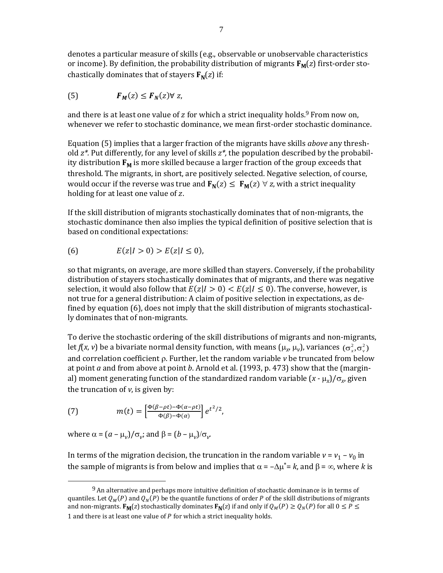denotes a particular measure of skills (e.g., observable or unobservable characteristics or income). By definition, the probability distribution of migrants  $\mathbf{F}_M(z)$  first-order stochastically dominates that of stayers  $\mathbf{F_N}(z)$  if:

 ,ݖ ∀ሻݖሺࡺࡲ ሻݖሺࡹࡲ (5)

and there is at least one value of z for which a strict inequality holds.<sup>9</sup> From now on, whenever we refer to stochastic dominance, we mean first-order stochastic dominance.

Equation (5) implies that a larger fraction of the migrants have skills *above* any threshold  $z^*$ . Put differently, for any level of skills  $z^*$ , the population described by the probability distribution  $\mathbf{F}_M$  is more skilled because a larger fraction of the group exceeds that threshold. The migrants, in short, are positively selected. Negative selection, of course, would occur if the reverse was true and  $\mathbf{F}_{N}(z) \leq \mathbf{F}_{M}(z) \ \forall \ z$ , with a strict inequality holding for at least one value of z.

If the skill distribution of migrants stochastically dominates that of non-migrants, the stochastic dominance then also implies the typical definition of positive selection that is based on conditional expectations:

(6) 
$$
E(z|I > 0) > E(z|I \le 0)
$$
,

so that migrants, on average, are more skilled than stayers. Conversely, if the probability distribution of stayers stochastically dominates that of migrants, and there was negative selection, it would also follow that  $E(z|I>0) < E(z|I \le 0)$ . The converse, however, is not true for a general distribution: A claim of positive selection in expectations, as defined by equation  $(6)$ , does not imply that the skill distribution of migrants stochastically dominates that of non-migrants.

To derive the stochastic ordering of the skill distributions of migrants and non-migrants, let  $f(x, v)$  be a bivariate normal density function, with means  $(\mu_x, \mu_v)$ , variances  $(\sigma_x^2, \sigma_v^2)$ and correlation coefficient  $\rho$ . Further, let the random variable  $\nu$  be truncated from below at point *a* and from above at point *b*. Arnold et al. (1993, p. 473) show that the (marginal) moment generating function of the standardized random variable  $(x - \mu_x)/\sigma_y$  given the truncation of  $v$ , is given by:

(7) 
$$
m(t) = \left[\frac{\Phi(\beta - \rho t) - \Phi(\alpha - \rho t)}{\Phi(\beta) - \Phi(\alpha)}\right] e^{t^2/2},
$$

where  $\alpha = (a - \mu_v)/\sigma_v$ ; and  $\beta = (b - \mu_v)/\sigma_v$ .

 

In terms of the migration decision, the truncation in the random variable  $v = v_1 - v_0$  in the sample of migrants is from below and implies that  $\alpha = -\Delta \mu^* = k$ , and  $\beta = \infty$ , where k is

 $9$  An alternative and perhaps more intuitive definition of stochastic dominance is in terms of quantiles. Let  $Q_M(P)$  and  $Q_N(P)$  be the quantile functions of order P of the skill distributions of migrants and non-migrants.  $\mathbf{F}_M(z)$  stochastically dominates  $\mathbf{F}_N(z)$  if and only if  $Q_M(P) \geq Q_N(P)$  for all  $0 \leq P \leq$ 1 and there is at least one value of  $P$  for which a strict inequality holds.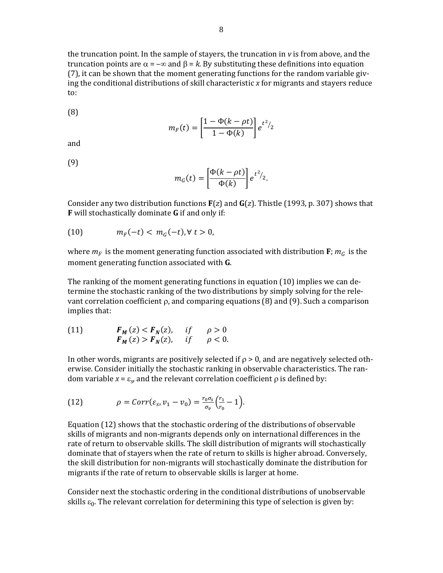the truncation point. In the sample of stayers, the truncation in *v* is from above, and the truncation points are  $\alpha = -\infty$  and  $\beta = k$ . By substituting these definitions into equation  $(7)$ , it can be shown that the moment generating functions for the random variable giving the conditional distributions of skill characteristic *x* for migrants and stayers reduce to: 

(8) 

$$
m_F(t) = \left[\frac{1 - \Phi(k - \rho t)}{1 - \Phi(k)}\right] e^{t^2/2}
$$

and 

(9) 

$$
m_G(t) = \left[\frac{\Phi(k-\rho t)}{\Phi(k)}\right] e^{t^2/2}.
$$

Consider any two distribution functions  $\mathbf{F}(z)$  and  $\mathbf{G}(z)$ . Thistle (1993, p. 307) shows that **F** will stochastically dominate **G** if and only if:

(10) 
$$
m_F(-t) < m_G(-t), \forall t > 0,
$$

where  $m_F$  is the moment generating function associated with distribution **F**;  $m_G$  is the moment generating function associated with **G**.

The ranking of the moment generating functions in equation  $(10)$  implies we can determine the stochastic ranking of the two distributions by simply solving for the relevant correlation coefficient  $\rho$ , and comparing equations (8) and (9). Such a comparison implies that:

(11) 
$$
F_M(z) < F_N(z), \quad \text{if} \quad \rho > 0 \\ F_M(z) > F_N(z), \quad \text{if} \quad \rho < 0.
$$

In other words, migrants are positively selected if  $\rho > 0$ , and are negatively selected otherwise. Consider initially the stochastic ranking in observable characteristics. The random variable  $x = \varepsilon_{\varphi}$  and the relevant correlation coefficient  $\rho$  is defined by:

(12) 
$$
\rho = Corr(\varepsilon_s, v_1 - v_0) = \frac{r_0 \sigma_s}{\sigma_v} \left(\frac{r_1}{r_0} - 1\right).
$$

Equation  $(12)$  shows that the stochastic ordering of the distributions of observable skills of migrants and non-migrants depends only on international differences in the rate of return to observable skills. The skill distribution of migrants will stochastically dominate that of stayers when the rate of return to skills is higher abroad. Conversely, the skill distribution for non-migrants will stochastically dominate the distribution for migrants if the rate of return to observable skills is larger at home.

Consider next the stochastic ordering in the conditional distributions of unobservable skills  $\varepsilon_0$ . The relevant correlation for determining this type of selection is given by: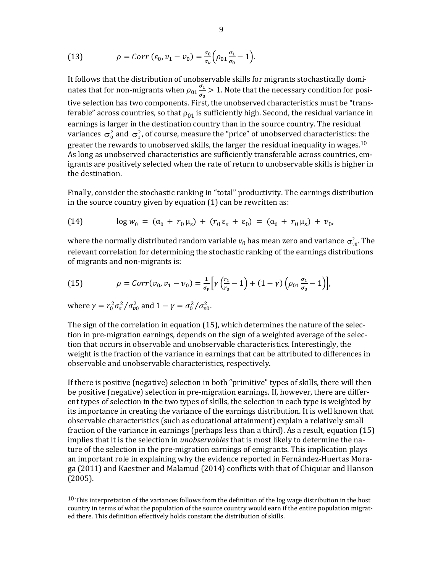(13) 
$$
\rho = Corr \left( \varepsilon_0, v_1 - v_0 \right) = \frac{\sigma_0}{\sigma_v} \left( \rho_{01} \frac{\sigma_1}{\sigma_0} - 1 \right).
$$

It follows that the distribution of unobservable skills for migrants stochastically dominates that for non-migrants when  $\rho_{01} \frac{\sigma_1}{\sigma_1}$  $\frac{v_1}{\sigma_0}$  > 1. Note that the necessary condition for positive selection has two components. First, the unobserved characteristics must be "transferable" across countries, so that  $\rho_{01}$  is sufficiently high. Second, the residual variance in earnings is larger in the destination country than in the source country. The residual variances  $\sigma_0^2$  and  $\sigma_1^2$ , of course, measure the "price" of unobserved characteristics: the greater the rewards to unobserved skills, the larger the residual inequality in wages.<sup>10</sup> As long as unobserved characteristics are sufficiently transferable across countries, emigrants are positively selected when the rate of return to unobservable skills is higher in the destination.

Finally, consider the stochastic ranking in "total" productivity. The earnings distribution in the source country given by equation  $(1)$  can be rewritten as:

(14) 
$$
\log w_0 = (\alpha_0 + r_0 \mu_s) + (r_0 \varepsilon_s + \varepsilon_0) = (\alpha_0 + r_0 \mu_s) + v_0,
$$

where the normally distributed random variable  $v_0$  has mean zero and variance  $\sigma_{v0}^2$ . The relevant correlation for determining the stochastic ranking of the earnings distributions of migrants and non-migrants is:

(15) 
$$
\rho = Corr(v_0, v_1 - v_0) = \frac{1}{\sigma_v} \Big[ \gamma \Big( \frac{r_1}{r_0} - 1 \Big) + (1 - \gamma) \Big( \rho_{01} \frac{\sigma_1}{\sigma_0} - 1 \Big) \Big],
$$

where  $\gamma = r_0^2 \sigma_s^2 / \sigma_{\nu 0}^2$  and  $1 - \gamma = \sigma_0^2 / \sigma_{\nu 0}^2$ .

 

The sign of the correlation in equation  $(15)$ , which determines the nature of the selection in pre-migration earnings, depends on the sign of a weighted average of the selection that occurs in observable and unobservable characteristics. Interestingly, the weight is the fraction of the variance in earnings that can be attributed to differences in observable and unobservable characteristics, respectively.

If there is positive (negative) selection in both "primitive" types of skills, there will then be positive (negative) selection in pre-migration earnings. If, however, there are different types of selection in the two types of skills, the selection in each type is weighted by its importance in creating the variance of the earnings distribution. It is well known that observable characteristics (such as educational attainment) explain a relatively small fraction of the variance in earnings (perhaps less than a third). As a result, equation  $(15)$ implies that it is the selection in *unobservables* that is most likely to determine the nature of the selection in the pre-migration earnings of emigrants. This implication plays an important role in explaining why the evidence reported in Fernández-Huertas Moraga (2011) and Kaestner and Malamud (2014) conflicts with that of Chiquiar and Hanson (2005). 

 $10$  This interpretation of the variances follows from the definition of the log wage distribution in the host country in terms of what the population of the source country would earn if the entire population migrated there. This definition effectively holds constant the distribution of skills.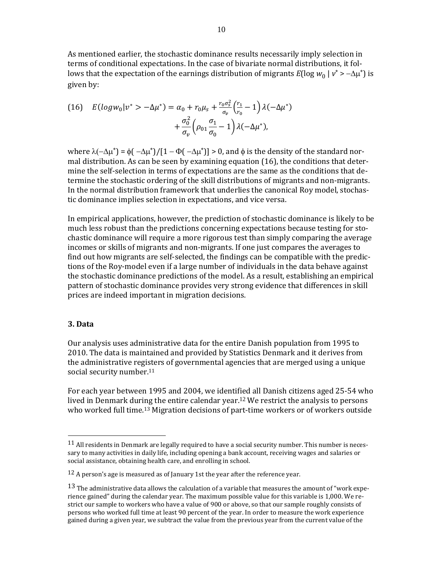As mentioned earlier, the stochastic dominance results necessarily imply selection in terms of conditional expectations. In the case of bivariate normal distributions, it follows that the expectation of the earnings distribution of migrants  $E(\log w_0 | v^* \rangle - \Delta \mu^*)$  is given by:

(16) 
$$
E(log w_0 | v^* > -\Delta \mu^*) = \alpha_0 + r_0 \mu_s + \frac{r_0 \sigma_s^2}{\sigma_v} \left(\frac{r_1}{r_0} - 1\right) \lambda (-\Delta \mu^*) + \frac{\sigma_0^2}{\sigma_v} \left(\rho_{01} \frac{\sigma_1}{\sigma_0} - 1\right) \lambda (-\Delta \mu^*),
$$

where  $\lambda(-\Delta\mu^*) = \phi(-\Delta\mu^*)/[1 - \Phi(-\Delta\mu^*)] > 0$ , and  $\phi$  is the density of the standard normal distribution. As can be seen by examining equation  $(16)$ , the conditions that determine the self-selection in terms of expectations are the same as the conditions that determine the stochastic ordering of the skill distributions of migrants and non-migrants. In the normal distribution framework that underlies the canonical Roy model, stochastic dominance implies selection in expectations, and vice versa.

In empirical applications, however, the prediction of stochastic dominance is likely to be much less robust than the predictions concerning expectations because testing for stochastic dominance will require a more rigorous test than simply comparing the average incomes or skills of migrants and non-migrants. If one just compares the averages to find out how migrants are self-selected, the findings can be compatible with the predictions of the Roy-model even if a large number of individuals in the data behave against the stochastic dominance predictions of the model. As a result, establishing an empirical pattern of stochastic dominance provides very strong evidence that differences in skill prices are indeed important in migration decisions.

#### **3. Data**

 

Our analysis uses administrative data for the entire Danish population from 1995 to 2010. The data is maintained and provided by Statistics Denmark and it derives from the administrative registers of governmental agencies that are merged using a unique social security number.<sup>11</sup>

For each year between 1995 and 2004, we identified all Danish citizens aged 25-54 who lived in Denmark during the entire calendar year.<sup>12</sup> We restrict the analysis to persons who worked full time.<sup>13</sup> Migration decisions of part-time workers or of workers outside

 $11$  All residents in Denmark are legally required to have a social security number. This number is necessary to many activities in daily life, including opening a bank account, receiving wages and salaries or social assistance, obtaining health care, and enrolling in school.

 $12$  A person's age is measured as of January 1st the year after the reference year.

<sup>13</sup> The administrative data allows the calculation of a variable that measures the amount of "work experience gained" during the calendar year. The maximum possible value for this variable is 1,000. We restrict our sample to workers who have a value of 900 or above, so that our sample roughly consists of persons who worked full time at least 90 percent of the year. In order to measure the work experience gained during a given year, we subtract the value from the previous year from the current value of the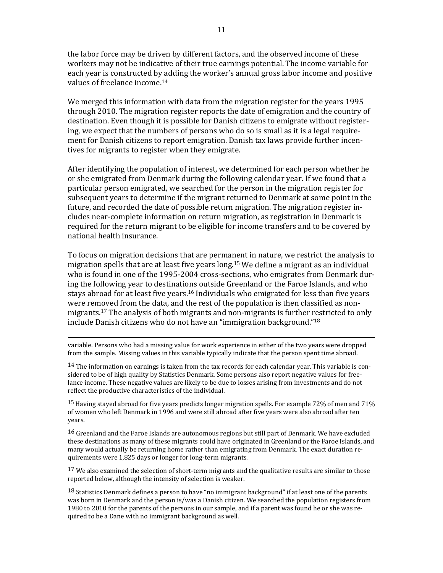the labor force may be driven by different factors, and the observed income of these workers may not be indicative of their true earnings potential. The income variable for each year is constructed by adding the worker's annual gross labor income and positive values of freelance income.<sup>14</sup>

We merged this information with data from the migration register for the years 1995 through 2010. The migration register reports the date of emigration and the country of destination. Even though it is possible for Danish citizens to emigrate without registering, we expect that the numbers of persons who do so is small as it is a legal requirement for Danish citizens to report emigration. Danish tax laws provide further incentives for migrants to register when they emigrate.

After identifying the population of interest, we determined for each person whether he or she emigrated from Denmark during the following calendar year. If we found that a particular person emigrated, we searched for the person in the migration register for subsequent years to determine if the migrant returned to Denmark at some point in the future, and recorded the date of possible return migration. The migration register includes near-complete information on return migration, as registration in Denmark is required for the return migrant to be eligible for income transfers and to be covered by national health insurance.

To focus on migration decisions that are permanent in nature, we restrict the analysis to migration spells that are at least five years long.<sup>15</sup> We define a migrant as an individual who is found in one of the 1995-2004 cross-sections, who emigrates from Denmark during the following year to destinations outside Greenland or the Faroe Islands, and who stays abroad for at least five years.<sup>16</sup> Individuals who emigrated for less than five years were removed from the data, and the rest of the population is then classified as nonmigrants.<sup>17</sup> The analysis of both migrants and non-migrants is further restricted to only include Danish citizens who do not have an "immigration background."<sup>18</sup>

<u> 2000 - Andrea Andrew Maria (h. 1888).</u><br>2001 - Andrew Maria (h. 1889). variable. Persons who had a missing value for work experience in either of the two years were dropped from the sample. Missing values in this variable typically indicate that the person spent time abroad.

 $14$  The information on earnings is taken from the tax records for each calendar year. This variable is considered to be of high quality by Statistics Denmark. Some persons also report negative values for freelance income. These negative values are likely to be due to losses arising from investments and do not reflect the productive characteristics of the individual.

<sup>15</sup> Having stayed abroad for five years predicts longer migration spells. For example 72% of men and 71% of women who left Denmark in 1996 and were still abroad after five years were also abroad after ten years. 

<sup>16</sup> Greenland and the Faroe Islands are autonomous regions but still part of Denmark. We have excluded these destinations as many of these migrants could have originated in Greenland or the Faroe Islands, and many would actually be returning home rather than emigrating from Denmark. The exact duration requirements were 1,825 days or longer for long-term migrants.

 $17$  We also examined the selection of short-term migrants and the qualitative results are similar to those reported below, although the intensity of selection is weaker.

 $^{18}$  Statistics Denmark defines a person to have "no immigrant background" if at least one of the parents was born in Denmark and the person is/was a Danish citizen. We searched the population registers from 1980 to 2010 for the parents of the persons in our sample, and if a parent was found he or she was required to be a Dane with no immigrant background as well.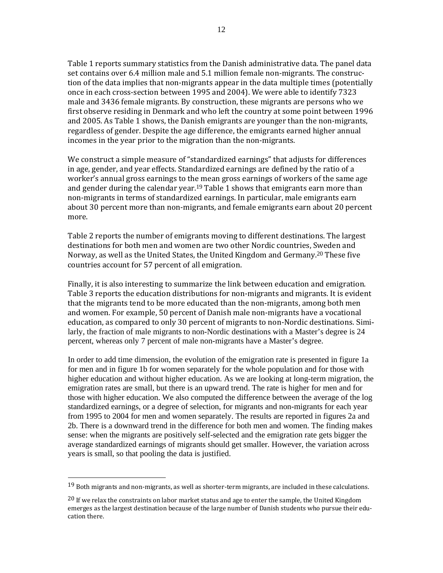Table 1 reports summary statistics from the Danish administrative data. The panel data set contains over 6.4 million male and 5.1 million female non-migrants. The construction of the data implies that non-migrants appear in the data multiple times (potentially once in each cross-section between 1995 and 2004). We were able to identify 7323 male and 3436 female migrants. By construction, these migrants are persons who we first observe residing in Denmark and who left the country at some point between 1996 and  $2005$ . As Table 1 shows, the Danish emigrants are younger than the non-migrants, regardless of gender. Despite the age difference, the emigrants earned higher annual incomes in the year prior to the migration than the non-migrants.

We construct a simple measure of "standardized earnings" that adjusts for differences in age, gender, and year effects. Standardized earnings are defined by the ratio of a worker's annual gross earnings to the mean gross earnings of workers of the same age and gender during the calendar year.<sup>19</sup> Table 1 shows that emigrants earn more than non-migrants in terms of standardized earnings. In particular, male emigrants earn about 30 percent more than non-migrants, and female emigrants earn about 20 percent more. 

Table 2 reports the number of emigrants moving to different destinations. The largest destinations for both men and women are two other Nordic countries, Sweden and Norway, as well as the United States, the United Kingdom and Germany.<sup>20</sup> These five countries account for 57 percent of all emigration.

Finally, it is also interesting to summarize the link between education and emigration. Table 3 reports the education distributions for non-migrants and migrants. It is evident that the migrants tend to be more educated than the non-migrants, among both men and women. For example, 50 percent of Danish male non-migrants have a vocational education, as compared to only 30 percent of migrants to non-Nordic destinations. Similarly, the fraction of male migrants to non-Nordic destinations with a Master's degree is 24 percent, whereas only 7 percent of male non-migrants have a Master's degree.

In order to add time dimension, the evolution of the emigration rate is presented in figure 1a for men and in figure 1b for women separately for the whole population and for those with higher education and without higher education. As we are looking at long-term migration, the emigration rates are small, but there is an upward trend. The rate is higher for men and for those with higher education. We also computed the difference between the average of the log standardized earnings, or a degree of selection, for migrants and non-migrants for each year from 1995 to 2004 for men and women separately. The results are reported in figures 2a and 2b. There is a downward trend in the difference for both men and women. The finding makes sense: when the migrants are positively self-selected and the emigration rate gets bigger the average standardized earnings of migrants should get smaller. However, the variation across years is small, so that pooling the data is justified.

 

 $19$  Both migrants and non-migrants, as well as shorter-term migrants, are included in these calculations.

 $20$  If we relax the constraints on labor market status and age to enter the sample, the United Kingdom emerges as the largest destination because of the large number of Danish students who pursue their education there.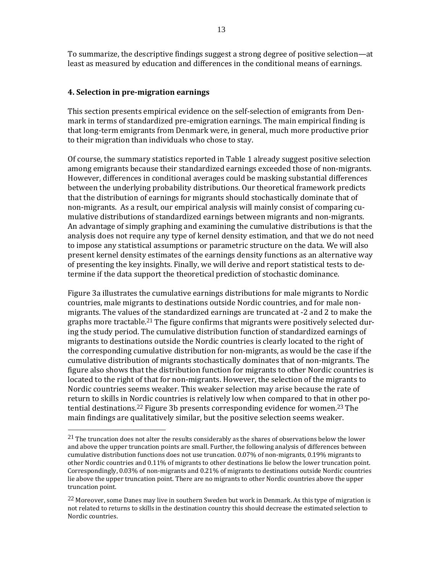To summarize, the descriptive findings suggest a strong degree of positive selection—at least as measured by education and differences in the conditional means of earnings.

#### **4. Selection in pre‐migration earnings**

 

This section presents empirical evidence on the self-selection of emigrants from Denmark in terms of standardized pre-emigration earnings. The main empirical finding is that long-term emigrants from Denmark were, in general, much more productive prior to their migration than individuals who chose to stay.

Of course, the summary statistics reported in Table 1 already suggest positive selection among emigrants because their standardized earnings exceeded those of non-migrants. However, differences in conditional averages could be masking substantial differences between the underlying probability distributions. Our theoretical framework predicts that the distribution of earnings for migrants should stochastically dominate that of non-migrants. As a result, our empirical analysis will mainly consist of comparing cumulative distributions of standardized earnings between migrants and non-migrants. An advantage of simply graphing and examining the cumulative distributions is that the analysis does not require any type of kernel density estimation, and that we do not need to impose any statistical assumptions or parametric structure on the data. We will also present kernel density estimates of the earnings density functions as an alternative way of presenting the key insights. Finally, we will derive and report statistical tests to determine if the data support the theoretical prediction of stochastic dominance.

Figure 3a illustrates the cumulative earnings distributions for male migrants to Nordic countries, male migrants to destinations outside Nordic countries, and for male nonmigrants. The values of the standardized earnings are truncated at -2 and 2 to make the graphs more tractable.<sup>21</sup> The figure confirms that migrants were positively selected during the study period. The cumulative distribution function of standardized earnings of migrants to destinations outside the Nordic countries is clearly located to the right of the corresponding cumulative distribution for non-migrants, as would be the case if the cumulative distribution of migrants stochastically dominates that of non-migrants. The figure also shows that the distribution function for migrants to other Nordic countries is located to the right of that for non-migrants. However, the selection of the migrants to Nordic countries seems weaker. This weaker selection may arise because the rate of return to skills in Nordic countries is relatively low when compared to that in other potential destinations.<sup>22</sup> Figure 3b presents corresponding evidence for women.<sup>23</sup> The main findings are qualitatively similar, but the positive selection seems weaker.

 $21$  The truncation does not alter the results considerably as the shares of observations below the lower and above the upper truncation points are small. Further, the following analysis of differences between cumulative distribution functions does not use truncation.  $0.07\%$  of non-migrants,  $0.19\%$  migrants to other Nordic countries and 0.11% of migrants to other destinations lie below the lower truncation point. Correspondingly, 0.03% of non-migrants and 0.21% of migrants to destinations outside Nordic countries lie above the upper truncation point. There are no migrants to other Nordic countries above the upper truncation point.

 $^{22}$  Moreover, some Danes may live in southern Sweden but work in Denmark. As this type of migration is not related to returns to skills in the destination country this should decrease the estimated selection to Nordic countries.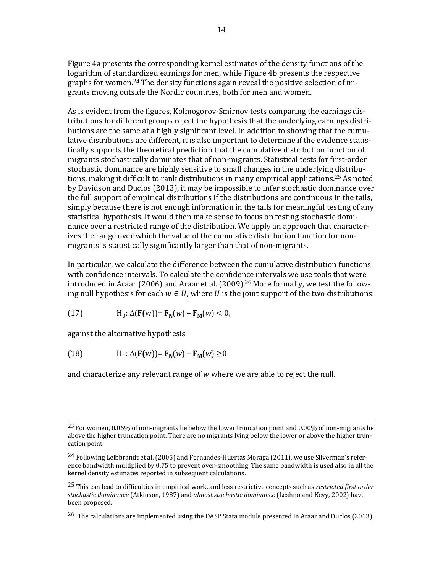Figure 4a presents the corresponding kernel estimates of the density functions of the logarithm of standardized earnings for men, while Figure 4b presents the respective graphs for women.<sup>24</sup> The density functions again reveal the positive selection of migrants moving outside the Nordic countries, both for men and women.

As is evident from the figures, Kolmogorov-Smirnov tests comparing the earnings distributions for different groups reject the hypothesis that the underlying earnings distributions are the same at a highly significant level. In addition to showing that the cumulative distributions are different, it is also important to determine if the evidence statistically supports the theoretical prediction that the cumulative distribution function of migrants stochastically dominates that of non-migrants. Statistical tests for first-order stochastic dominance are highly sensitive to small changes in the underlying distributions, making it difficult to rank distributions in many empirical applications.<sup>25</sup> As noted by Davidson and Duclos (2013), it may be impossible to infer stochastic dominance over the full support of empirical distributions if the distributions are continuous in the tails, simply because there is not enough information in the tails for meaningful testing of any statistical hypothesis. It would then make sense to focus on testing stochastic dominance over a restricted range of the distribution. We apply an approach that characterizes the range over which the value of the cumulative distribution function for nonmigrants is statistically significantly larger than that of non-migrants.

In particular, we calculate the difference between the cumulative distribution functions with confidence intervals. To calculate the confidence intervals we use tools that were introduced in Araar (2006) and Araar et al. (2009).<sup>26</sup> More formally, we test the following null hypothesis for each  $w \in U$ , where U is the joint support of the two distributions:

(17) 
$$
H_0: \Delta(\mathbf{F}(w)) = \mathbf{F_N}(w) - \mathbf{F_M}(w) < 0,
$$

against the alternative hypothesis

(18) 
$$
H_1: \Delta(\mathbf{F}(w)) = \mathbf{F_N}(w) - \mathbf{F_M}(w) \ge 0
$$

and characterize any relevant range of  $w$  where we are able to reject the null.

<u> 2000 - Andrea Andrew Maria (h. 1888).</u><br>2001 - Andrew Maria (h. 1889).

<sup>&</sup>lt;sup>23</sup> For women, 0.06% of non-migrants lie below the lower truncation point and 0.00% of non-migrants lie above the higher truncation point. There are no migrants lying below the lower or above the higher truncation point.

 $^{24}$  Following Leibbrandt et al. (2005) and Fernandes-Huertas Moraga (2011), we use Silverman's reference bandwidth multiplied by 0.75 to prevent over-smoothing. The same bandwidth is used also in all the kernel density estimates reported in subsequent calculations.

<sup>&</sup>lt;sup>25</sup> This can lead to difficulties in empirical work, and less restrictive concepts such as *restricted first order stochastic dominance* (Atkinson, 1987) and *almost stochastic dominance* (Leshno and Kevy, 2002) have been proposed.

<sup>&</sup>lt;sup>26</sup> The calculations are implemented using the DASP Stata module presented in Araar and Duclos (2013).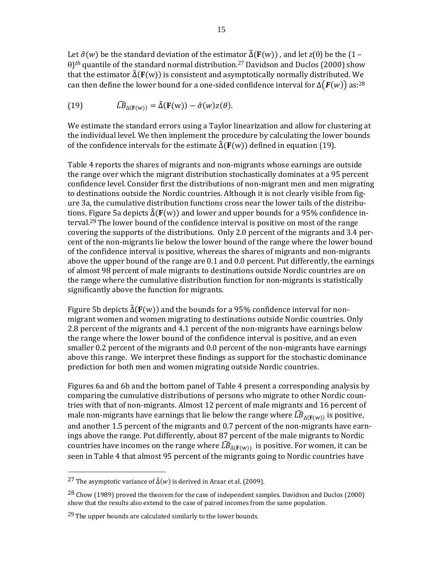Let  $\hat{\sigma}(w)$  be the standard deviation of the estimator  $\hat{\Delta}(\mathbf{F}(w))$ , and let *z*( $\theta$ ) be the (1 –  $\theta$ <sup>th</sup> quantile of the standard normal distribution.<sup>27</sup> Davidson and Duclos (2000) show that the estimator  $\hat{\Delta}(\mathbf{F}(w))$  is consistent and asymptotically normally distributed. We can then define the lower bound for a one-sided confidence interval for  $\Delta(F(w))$  as:<sup>28</sup>

(19) 
$$
\widehat{LB}_{\Delta(\mathbf{F}(w))} = \widehat{\Delta}(\mathbf{F}(w)) - \widehat{\sigma}(w)z(\theta).
$$

We estimate the standard errors using a Taylor linearization and allow for clustering at the individual level. We then implement the procedure by calculating the lower bounds of the confidence intervals for the estimate  $\hat{\Delta}(F(w))$  defined in equation (19).

Table 4 reports the shares of migrants and non-migrants whose earnings are outside the range over which the migrant distribution stochastically dominates at a 95 percent confidence level. Consider first the distributions of non-migrant men and men migrating to destinations outside the Nordic countries. Although it is not clearly visible from figure 3a, the cumulative distribution functions cross near the lower tails of the distributions. Figure 5a depicts  $\hat{\Delta}(F(w))$  and lower and upper bounds for a 95% confidence interval.<sup>29</sup> The lower bound of the confidence interval is positive on most of the range covering the supports of the distributions. Only 2.0 percent of the migrants and 3.4 percent of the non-migrants lie below the lower bound of the range where the lower bound of the confidence interval is positive, whereas the shares of migrants and non-migrants above the upper bound of the range are  $0.1$  and  $0.0$  percent. Put differently, the earnings of almost 98 percent of male migrants to destinations outside Nordic countries are on the range where the cumulative distribution function for non-migrants is statistically significantly above the function for migrants.

Figure 5b depicts  $\hat{\Delta}(\mathbf{F}(w))$  and the bounds for a 95% confidence interval for nonmigrant women and women migrating to destinations outside Nordic countries. Only 2.8 percent of the migrants and 4.1 percent of the non-migrants have earnings below the range where the lower bound of the confidence interval is positive, and an even smaller 0.2 percent of the migrants and 0.0 percent of the non-migrants have earnings above this range. We interpret these findings as support for the stochastic dominance prediction for both men and women migrating outside Nordic countries.

Figures 6a and 6b and the bottom panel of Table 4 present a corresponding analysis by comparing the cumulative distributions of persons who migrate to other Nordic countries with that of non-migrants. Almost 12 percent of male migrants and 16 percent of male non-migrants have earnings that lie below the range where  $\widehat{LB}_{\Delta(F(w))}$  is positive, and another 1.5 percent of the migrants and 0.7 percent of the non-migrants have earnings above the range. Put differently, about 87 percent of the male migrants to Nordic countries have incomes on the range where  $\widehat{LB}_{\Delta(F(w))}$  is positive. For women, it can be seen in Table 4 that almost 95 percent of the migrants going to Nordic countries have

 

<sup>&</sup>lt;sup>27</sup> The asymptotic variance of  $\hat{\Delta}(w)$  is derived in Araar et al. (2009).

<sup>&</sup>lt;sup>28</sup> Chow (1989) proved the theorem for the case of independent samples. Davidson and Duclos (2000) show that the results also extend to the case of paired incomes from the same population.

 $29$  The upper bounds are calculated similarly to the lower bounds.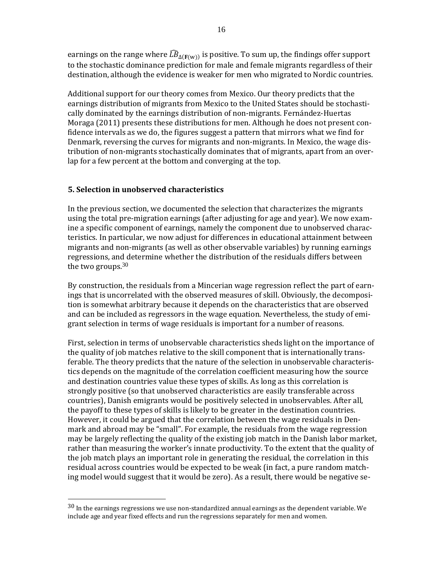earnings on the range where  $\widehat{LB}_{\Delta(F(w))}$  is positive. To sum up, the findings offer support to the stochastic dominance prediction for male and female migrants regardless of their destination, although the evidence is weaker for men who migrated to Nordic countries.

Additional support for our theory comes from Mexico. Our theory predicts that the earnings distribution of migrants from Mexico to the United States should be stochastically dominated by the earnings distribution of non-migrants. Fernández-Huertas Moraga (2011) presents these distributions for men. Although he does not present confidence intervals as we do, the figures suggest a pattern that mirrors what we find for Denmark, reversing the curves for migrants and non-migrants. In Mexico, the wage distribution of non-migrants stochastically dominates that of migrants, apart from an overlap for a few percent at the bottom and converging at the top.

#### **5. Selection in unobserved characteristics**

 

In the previous section, we documented the selection that characterizes the migrants using the total pre-migration earnings (after adjusting for age and year). We now examine a specific component of earnings, namely the component due to unobserved characteristics. In particular, we now adjust for differences in educational attainment between migrants and non-migrants (as well as other observable variables) by running earnings regressions, and determine whether the distribution of the residuals differs between the two groups. $30$ 

By construction, the residuals from a Mincerian wage regression reflect the part of earnings that is uncorrelated with the observed measures of skill. Obviously, the decomposition is somewhat arbitrary because it depends on the characteristics that are observed and can be included as regressors in the wage equation. Nevertheless, the study of emigrant selection in terms of wage residuals is important for a number of reasons.

First, selection in terms of unobservable characteristics sheds light on the importance of the quality of job matches relative to the skill component that is internationally transferable. The theory predicts that the nature of the selection in unobservable characteristics depends on the magnitude of the correlation coefficient measuring how the source and destination countries value these types of skills. As long as this correlation is strongly positive (so that unobserved characteristics are easily transferable across countries), Danish emigrants would be positively selected in unobservables. After all, the payoff to these types of skills is likely to be greater in the destination countries. However, it could be argued that the correlation between the wage residuals in Denmark and abroad may be "small". For example, the residuals from the wage regression may be largely reflecting the quality of the existing job match in the Danish labor market, rather than measuring the worker's innate productivity. To the extent that the quality of the job match plays an important role in generating the residual, the correlation in this residual across countries would be expected to be weak (in fact, a pure random matching model would suggest that it would be zero). As a result, there would be negative se-

 $30$  In the earnings regressions we use non-standardized annual earnings as the dependent variable. We include age and year fixed effects and run the regressions separately for men and women.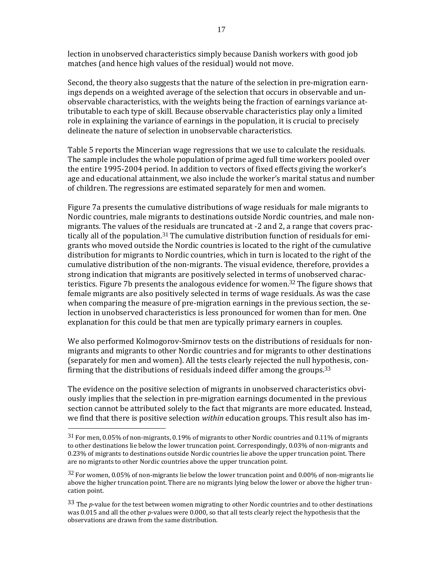lection in unobserved characteristics simply because Danish workers with good job matches (and hence high values of the residual) would not move.

Second, the theory also suggests that the nature of the selection in pre-migration earnings depends on a weighted average of the selection that occurs in observable and unobservable characteristics, with the weights being the fraction of earnings variance attributable to each type of skill. Because observable characteristics play only a limited role in explaining the variance of earnings in the population, it is crucial to precisely delineate the nature of selection in unobservable characteristics.

Table 5 reports the Mincerian wage regressions that we use to calculate the residuals. The sample includes the whole population of prime aged full time workers pooled over the entire  $1995-2004$  period. In addition to vectors of fixed effects giving the worker's age and educational attainment, we also include the worker's marital status and number of children. The regressions are estimated separately for men and women.

Figure 7a presents the cumulative distributions of wage residuals for male migrants to Nordic countries, male migrants to destinations outside Nordic countries, and male nonmigrants. The values of the residuals are truncated at -2 and 2, a range that covers practically all of the population.<sup>31</sup> The cumulative distribution function of residuals for emigrants who moved outside the Nordic countries is located to the right of the cumulative distribution for migrants to Nordic countries, which in turn is located to the right of the cumulative distribution of the non-migrants. The visual evidence, therefore, provides a strong indication that migrants are positively selected in terms of unobserved characteristics. Figure 7b presents the analogous evidence for women.<sup>32</sup> The figure shows that female migrants are also positively selected in terms of wage residuals. As was the case when comparing the measure of pre-migration earnings in the previous section, the selection in unobserved characteristics is less pronounced for women than for men. One explanation for this could be that men are typically primary earners in couples.

We also performed Kolmogorov-Smirnov tests on the distributions of residuals for nonmigrants and migrants to other Nordic countries and for migrants to other destinations (separately for men and women). All the tests clearly rejected the null hypothesis, confirming that the distributions of residuals indeed differ among the groups.<sup>33</sup>

The evidence on the positive selection of migrants in unobserved characteristics obviously implies that the selection in pre-migration earnings documented in the previous section cannot be attributed solely to the fact that migrants are more educated. Instead, we find that there is positive selection *within* education groups. This result also has im-

 

 $31$  For men, 0.05% of non-migrants, 0.19% of migrants to other Nordic countries and 0.11% of migrants to other destinations lie below the lower truncation point. Correspondingly, 0.03% of non-migrants and 0.23% of migrants to destinations outside Nordic countries lie above the upper truncation point. There are no migrants to other Nordic countries above the upper truncation point.

 $32$  For women, 0.05% of non-migrants lie below the lower truncation point and 0.00% of non-migrants lie above the higher truncation point. There are no migrants lying below the lower or above the higher truncation point.

<sup>33</sup> The *p*-value for the test between women migrating to other Nordic countries and to other destinations was 0.015 and all the other *p*-values were 0.000, so that all tests clearly reject the hypothesis that the observations are drawn from the same distribution.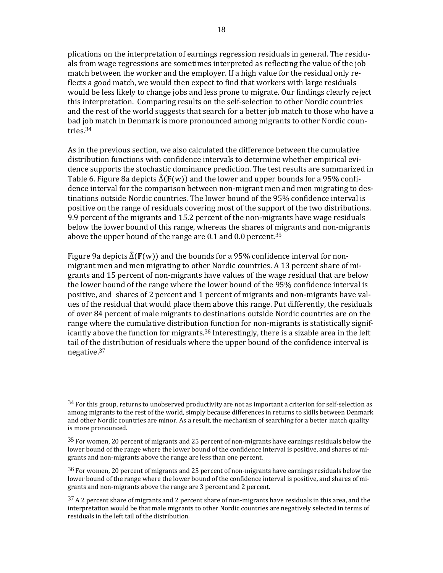plications on the interpretation of earnings regression residuals in general. The residuals from wage regressions are sometimes interpreted as reflecting the value of the job match between the worker and the employer. If a high value for the residual only reflects a good match, we would then expect to find that workers with large residuals would be less likely to change jobs and less prone to migrate. Our findings clearly reject this interpretation. Comparing results on the self-selection to other Nordic countries and the rest of the world suggests that search for a better job match to those who have a bad job match in Denmark is more pronounced among migrants to other Nordic countries.34

As in the previous section, we also calculated the difference between the cumulative distribution functions with confidence intervals to determine whether empirical evidence supports the stochastic dominance prediction. The test results are summarized in Table 6. Figure 8a depicts  $\hat{\Delta}(\mathbf{F}(w))$  and the lower and upper bounds for a 95% confidence interval for the comparison between non-migrant men and men migrating to destinations outside Nordic countries. The lower bound of the 95% confidence interval is positive on the range of residuals covering most of the support of the two distributions. 9.9 percent of the migrants and 15.2 percent of the non-migrants have wage residuals below the lower bound of this range, whereas the shares of migrants and non-migrants above the upper bound of the range are  $0.1$  and  $0.0$  percent.<sup>35</sup>

Figure 9a depicts  $\hat{\Delta}(\mathbf{F}(w))$  and the bounds for a 95% confidence interval for nonmigrant men and men migrating to other Nordic countries. A 13 percent share of migrants and 15 percent of non-migrants have values of the wage residual that are below the lower bound of the range where the lower bound of the 95% confidence interval is positive, and shares of 2 percent and 1 percent of migrants and non-migrants have values of the residual that would place them above this range. Put differently, the residuals of over 84 percent of male migrants to destinations outside Nordic countries are on the range where the cumulative distribution function for non-migrants is statistically significantly above the function for migrants.<sup>36</sup> Interestingly, there is a sizable area in the left tail of the distribution of residuals where the upper bound of the confidence interval is negative.37 

 

 $34$  For this group, returns to unobserved productivity are not as important a criterion for self-selection as among migrants to the rest of the world, simply because differences in returns to skills between Denmark and other Nordic countries are minor. As a result, the mechanism of searching for a better match quality is more pronounced.

 $35$  For women, 20 percent of migrants and 25 percent of non-migrants have earnings residuals below the lower bound of the range where the lower bound of the confidence interval is positive, and shares of migrants and non-migrants above the range are less than one percent.

 $36$  For women, 20 percent of migrants and 25 percent of non-migrants have earnings residuals below the lower bound of the range where the lower bound of the confidence interval is positive, and shares of migrants and non-migrants above the range are 3 percent and 2 percent.

 $37$  A 2 percent share of migrants and 2 percent share of non-migrants have residuals in this area, and the interpretation would be that male migrants to other Nordic countries are negatively selected in terms of residuals in the left tail of the distribution.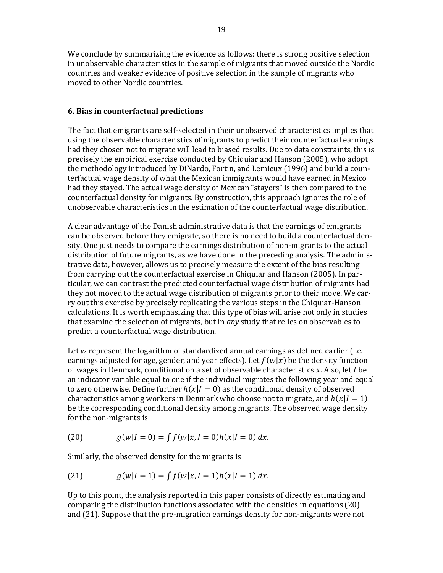We conclude by summarizing the evidence as follows: there is strong positive selection in unobservable characteristics in the sample of migrants that moved outside the Nordic countries and weaker evidence of positive selection in the sample of migrants who moved to other Nordic countries.

#### **6. Bias in counterfactual predictions**

The fact that emigrants are self-selected in their unobserved characteristics implies that using the observable characteristics of migrants to predict their counterfactual earnings had they chosen not to migrate will lead to biased results. Due to data constraints, this is precisely the empirical exercise conducted by Chiquiar and Hanson (2005), who adopt the methodology introduced by DiNardo, Fortin, and Lemieux (1996) and build a counterfactual wage density of what the Mexican immigrants would have earned in Mexico had they stayed. The actual wage density of Mexican "stayers" is then compared to the counterfactual density for migrants. By construction, this approach ignores the role of unobservable characteristics in the estimation of the counterfactual wage distribution.

A clear advantage of the Danish administrative data is that the earnings of emigrants can be observed before they emigrate, so there is no need to build a counterfactual density. One just needs to compare the earnings distribution of non-migrants to the actual distribution of future migrants, as we have done in the preceding analysis. The administrative data, however, allows us to precisely measure the extent of the bias resulting from carrying out the counterfactual exercise in Chiquiar and Hanson (2005). In particular, we can contrast the predicted counterfactual wage distribution of migrants had they not moved to the actual wage distribution of migrants prior to their move. We carry out this exercise by precisely replicating the various steps in the Chiquiar-Hanson calculations. It is worth emphasizing that this type of bias will arise not only in studies that examine the selection of migrants, but in *any* study that relies on observables to predict a counterfactual wage distribution.

Let  $w$  represent the logarithm of standardized annual earnings as defined earlier (i.e. earnings adjusted for age, gender, and year effects). Let  $f(w|x)$  be the density function of wages in Denmark, conditional on a set of observable characteristics  $x$ . Also, let  $I$  be an indicator variable equal to one if the individual migrates the following year and equal to zero otherwise. Define further  $h(x|I = 0)$  as the conditional density of observed characteristics among workers in Denmark who choose not to migrate, and  $h(x|I = 1)$ be the corresponding conditional density among migrants. The observed wage density for the non-migrants is

(20) 
$$
g(w|I=0) = \int f(w|x, I=0)h(x|I=0) dx.
$$

Similarly, the observed density for the migrants is

(21) 
$$
g(w|I=1) = \int f(w|x, I=1)h(x|I=1) dx.
$$

Up to this point, the analysis reported in this paper consists of directly estimating and comparing the distribution functions associated with the densities in equations  $(20)$ and  $(21)$ . Suppose that the pre-migration earnings density for non-migrants were not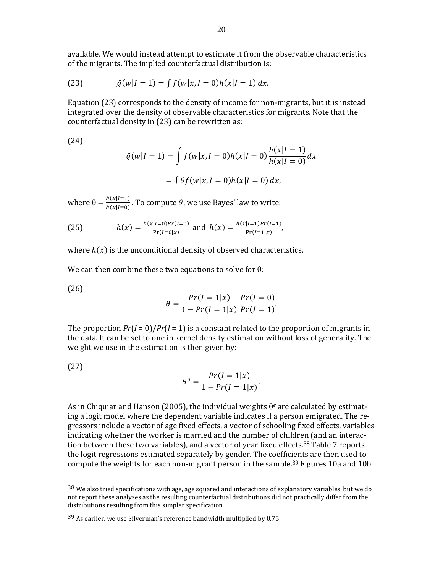available. We would instead attempt to estimate it from the observable characteristics of the migrants. The implied counterfactual distribution is:

(23) 
$$
\hat{g}(w|I=1) = \int f(w|x, I=0)h(x|I=1) dx.
$$

Equation  $(23)$  corresponds to the density of income for non-migrants, but it is instead integrated over the density of observable characteristics for migrants. Note that the counterfactual density in (23) can be rewritten as:

(24) 

$$
\hat{g}(w|I=1) = \int f(w|x, I=0)h(x|I=0)\frac{h(x|I=1)}{h(x|I=0)}dx
$$

$$
= \int \theta f(w|x, I=0)h(x|I=0) dx,
$$

where  $\theta = \frac{h(x|I=1)}{h(x|I=0)}$  $\frac{h(x|I=1)}{h(x|I=0)}$ . To compute  $\theta$ , we use Bayes' law to write:

(25) 
$$
h(x) = \frac{h(x|I=0)Pr(I=0)}{Pr(I=0|x)} \text{ and } h(x) = \frac{h(x|I=1)Pr(I=1)}{Pr(I=1|x)},
$$

where  $h(x)$  is the unconditional density of observed characteristics.

We can then combine these two equations to solve for  $\theta$ :

(26) 

$$
\theta = \frac{Pr(I = 1 | x)}{1 - Pr(I = 1 | x)} \frac{Pr(I = 0)}{Pr(I = 1)}.
$$

The proportion  $Pr(I = 0)/Pr(I = 1)$  is a constant related to the proportion of migrants in the data. It can be set to one in kernel density estimation without loss of generality. The weight we use in the estimation is then given by:

(27) 

$$
\theta^e = \frac{Pr(I=1|x)}{1 - Pr(I=1|x)}
$$

. 

As in Chiquiar and Hanson (2005), the individual weights  $\theta^e$  are calculated by estimating a logit model where the dependent variable indicates if a person emigrated. The regressors include a vector of age fixed effects, a vector of schooling fixed effects, variables indicating whether the worker is married and the number of children (and an interaction between these two variables), and a vector of year fixed effects.<sup>38</sup> Table 7 reports the logit regressions estimated separately by gender. The coefficients are then used to compute the weights for each non-migrant person in the sample.<sup>39</sup> Figures 10a and 10b

 

 $38$  We also tried specifications with age, age squared and interactions of explanatory variables, but we do not report these analyses as the resulting counterfactual distributions did not practically differ from the distributions resulting from this simpler specification.

 $39$  As earlier, we use Silverman's reference bandwidth multiplied by 0.75.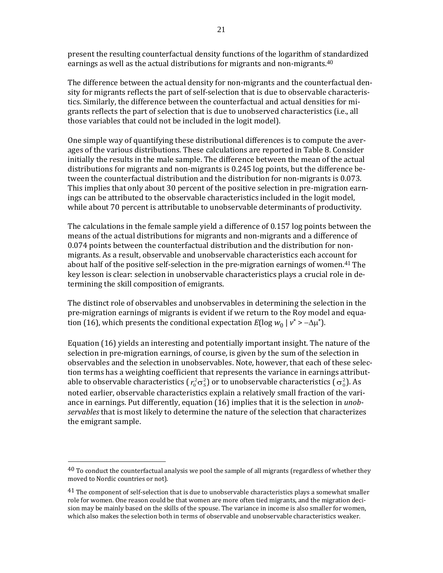present the resulting counterfactual density functions of the logarithm of standardized earnings as well as the actual distributions for migrants and non-migrants. $40$ 

The difference between the actual density for non-migrants and the counterfactual density for migrants reflects the part of self-selection that is due to observable characteristics. Similarly, the difference between the counterfactual and actual densities for migrants reflects the part of selection that is due to unobserved characteristics (i.e., all those variables that could not be included in the logit model).

One simple way of quantifying these distributional differences is to compute the averages of the various distributions. These calculations are reported in Table 8. Consider initially the results in the male sample. The difference between the mean of the actual distributions for migrants and non-migrants is  $0.245$  log points, but the difference between the counterfactual distribution and the distribution for non-migrants is 0.073. This implies that only about 30 percent of the positive selection in pre-migration earnings can be attributed to the observable characteristics included in the logit model, while about 70 percent is attributable to unobservable determinants of productivity.

The calculations in the female sample yield a difference of  $0.157$  log points between the means of the actual distributions for migrants and non-migrants and a difference of 0.074 points between the counterfactual distribution and the distribution for nonmigrants. As a result, observable and unobservable characteristics each account for about half of the positive self-selection in the pre-migration earnings of women.<sup>41</sup> The key lesson is clear: selection in unobservable characteristics plays a crucial role in determining the skill composition of emigrants.

The distinct role of observables and unobservables in determining the selection in the pre-migration earnings of migrants is evident if we return to the Roy model and equation (16), which presents the conditional expectation  $E(\log w_0 | v^* > -\Delta\mu^*)$ .

Equation (16) vields an interesting and potentially important insight. The nature of the selection in pre-migration earnings, of course, is given by the sum of the selection in observables and the selection in unobservables. Note, however, that each of these selection terms has a weighting coefficient that represents the variance in earnings attributable to observable characteristics ( $r_0^2 \sigma_s^2$ ) or to unobservable characteristics ( $\sigma_0^2$ ). As noted earlier, observable characteristics explain a relatively small fraction of the variance in earnings. Put differently, equation (16) implies that it is the selection in *unob*servables that is most likely to determine the nature of the selection that characterizes the emigrant sample.

 

 $40$  To conduct the counterfactual analysis we pool the sample of all migrants (regardless of whether they moved to Nordic countries or not).

<sup>&</sup>lt;sup>41</sup> The component of self-selection that is due to unobservable characteristics plays a somewhat smaller role for women. One reason could be that women are more often tied migrants, and the migration decision may be mainly based on the skills of the spouse. The variance in income is also smaller for women, which also makes the selection both in terms of observable and unobservable characteristics weaker.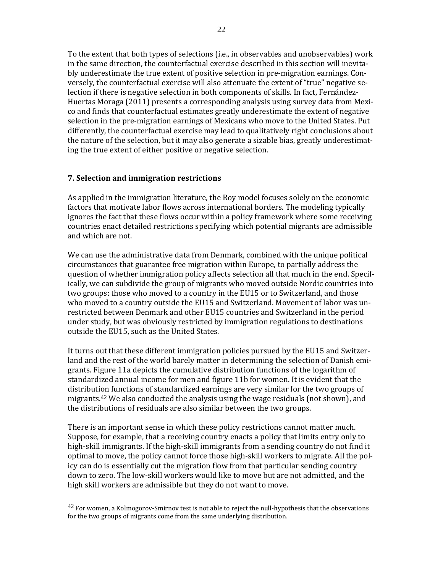To the extent that both types of selections (i.e., in observables and unobservables) work in the same direction, the counterfactual exercise described in this section will inevitably underestimate the true extent of positive selection in pre-migration earnings. Conversely, the counterfactual exercise will also attenuate the extent of "true" negative selection if there is negative selection in both components of skills. In fact, Fernández-Huertas Moraga (2011) presents a corresponding analysis using survey data from Mexico and finds that counterfactual estimates greatly underestimate the extent of negative selection in the pre-migration earnings of Mexicans who move to the United States. Put differently, the counterfactual exercise may lead to qualitatively right conclusions about the nature of the selection, but it may also generate a sizable bias, greatly underestimating the true extent of either positive or negative selection.

### **7. Selection and immigration restrictions**

 

As applied in the immigration literature, the Roy model focuses solely on the economic factors that motivate labor flows across international borders. The modeling typically ignores the fact that these flows occur within a policy framework where some receiving countries enact detailed restrictions specifying which potential migrants are admissible and which are not.

We can use the administrative data from Denmark, combined with the unique political circumstances that guarantee free migration within Europe, to partially address the question of whether immigration policy affects selection all that much in the end. Specifically, we can subdivide the group of migrants who moved outside Nordic countries into two groups: those who moved to a country in the EU15 or to Switzerland, and those who moved to a country outside the EU15 and Switzerland. Movement of labor was unrestricted between Denmark and other EU15 countries and Switzerland in the period under study, but was obviously restricted by immigration regulations to destinations outside the EU15, such as the United States.

It turns out that these different immigration policies pursued by the EU15 and Switzerland and the rest of the world barely matter in determining the selection of Danish emigrants. Figure 11a depicts the cumulative distribution functions of the logarithm of standardized annual income for men and figure 11b for women. It is evident that the distribution functions of standardized earnings are very similar for the two groups of migrants.<sup>42</sup> We also conducted the analysis using the wage residuals (not shown), and the distributions of residuals are also similar between the two groups.

There is an important sense in which these policy restrictions cannot matter much. Suppose, for example, that a receiving country enacts a policy that limits entry only to high-skill immigrants. If the high-skill immigrants from a sending country do not find it optimal to move, the policy cannot force those high-skill workers to migrate. All the policy can do is essentially cut the migration flow from that particular sending country down to zero. The low-skill workers would like to move but are not admitted, and the high skill workers are admissible but they do not want to move.

 $42$  For women, a Kolmogorov-Smirnov test is not able to reject the null-hypothesis that the observations for the two groups of migrants come from the same underlying distribution.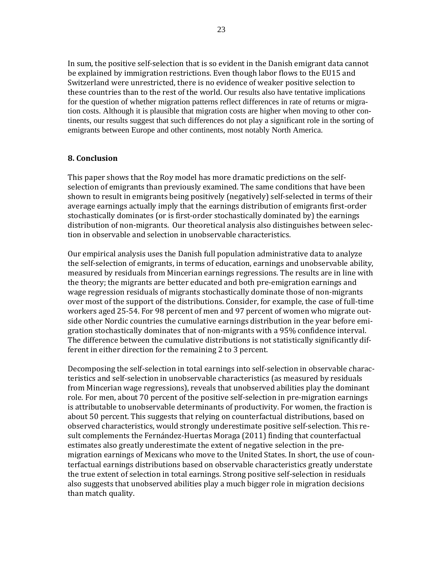In sum, the positive self-selection that is so evident in the Danish emigrant data cannot be explained by immigration restrictions. Even though labor flows to the EU15 and Switzerland were unrestricted, there is no evidence of weaker positive selection to these countries than to the rest of the world. Our results also have tentative implications for the question of whether migration patterns reflect differences in rate of returns or migration costs. Although it is plausible that migration costs are higher when moving to other continents, our results suggest that such differences do not play a significant role in the sorting of emigrants between Europe and other continents, most notably North America.

#### **8. Conclusion**

This paper shows that the Roy model has more dramatic predictions on the selfselection of emigrants than previously examined. The same conditions that have been shown to result in emigrants being positively (negatively) self-selected in terms of their average earnings actually imply that the earnings distribution of emigrants first-order stochastically dominates (or is first-order stochastically dominated by) the earnings distribution of non-migrants. Our theoretical analysis also distinguishes between selection in observable and selection in unobservable characteristics.

Our empirical analysis uses the Danish full population administrative data to analyze the self-selection of emigrants, in terms of education, earnings and unobservable ability, measured by residuals from Mincerian earnings regressions. The results are in line with the theory; the migrants are better educated and both pre-emigration earnings and wage regression residuals of migrants stochastically dominate those of non-migrants over most of the support of the distributions. Consider, for example, the case of full-time workers aged 25-54. For 98 percent of men and 97 percent of women who migrate outside other Nordic countries the cumulative earnings distribution in the year before emigration stochastically dominates that of non-migrants with a 95% confidence interval. The difference between the cumulative distributions is not statistically significantly different in either direction for the remaining 2 to 3 percent.

Decomposing the self-selection in total earnings into self-selection in observable characteristics and self-selection in unobservable characteristics (as measured by residuals from Mincerian wage regressions), reveals that unobserved abilities play the dominant role. For men, about 70 percent of the positive self-selection in pre-migration earnings is attributable to unobservable determinants of productivity. For women, the fraction is about 50 percent. This suggests that relying on counterfactual distributions, based on observed characteristics, would strongly underestimate positive self-selection. This result complements the Fernández-Huertas Moraga (2011) finding that counterfactual estimates also greatly underestimate the extent of negative selection in the premigration earnings of Mexicans who move to the United States. In short, the use of counterfactual earnings distributions based on observable characteristics greatly understate the true extent of selection in total earnings. Strong positive self-selection in residuals also suggests that unobserved abilities play a much bigger role in migration decisions than match quality.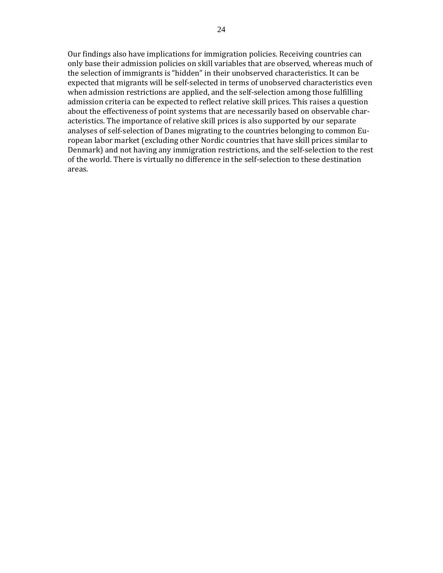Our findings also have implications for immigration policies. Receiving countries can only base their admission policies on skill variables that are observed, whereas much of the selection of immigrants is "hidden" in their unobserved characteristics. It can be expected that migrants will be self-selected in terms of unobserved characteristics even when admission restrictions are applied, and the self-selection among those fulfilling admission criteria can be expected to reflect relative skill prices. This raises a question about the effectiveness of point systems that are necessarily based on observable characteristics. The importance of relative skill prices is also supported by our separate analyses of self-selection of Danes migrating to the countries belonging to common European labor market (excluding other Nordic countries that have skill prices similar to Denmark) and not having any immigration restrictions, and the self-selection to the rest of the world. There is virtually no difference in the self-selection to these destination areas.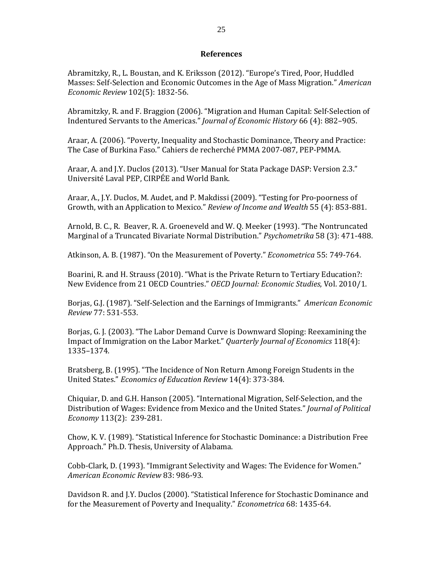#### **References**

Abramitzky, R., L. Boustan, and K. Eriksson (2012). "Europe's Tired, Poor, Huddled Masses: Self-Selection and Economic Outcomes in the Age of Mass Migration." *American Economic Review* 102(5): 1832‐56. 

Abramitzky, R. and F. Braggion (2006). "Migration and Human Capital: Self-Selection of Indentured Servants to the Americas." *Journal of Economic History* 66 (4): 882–905.

Araar, A. (2006). "Poverty, Inequality and Stochastic Dominance, Theory and Practice: The Case of Burkina Faso." Cahiers de recherché PMMA 2007-087, PEP-PMMA.

Araar, A. and J.Y. Duclos (2013). "User Manual for Stata Package DASP: Version 2.3." Université Laval PEP, CIRPÉE and World Bank.

Araar, A., J.Y. Duclos, M. Audet, and P. Makdissi (2009). "Testing for Pro-poorness of Growth, with an Application to Mexico." Review of *Income and Wealth* 55 (4): 853-881.

Arnold, B. C., R. Beaver, R. A. Groeneveld and W. Q. Meeker (1993). "The Nontruncated Marginal of a Truncated Bivariate Normal Distribution." *Psychometrika* 58 (3): 471-488.

Atkinson, A. B. (1987). "On the Measurement of Poverty." *Econometrica* 55: 749-764.

Boarini, R. and H. Strauss (2010). "What is the Private Return to Tertiary Education?: New Evidence from 21 OECD Countries." *OECD Journal: Economic Studies*, Vol. 2010/1. 

Borjas, G.J. (1987). "Self-Selection and the Earnings of Immigrants." *American Economic Review* 77: 531‐553. 

Borjas, G. J. (2003). "The Labor Demand Curve is Downward Sloping: Reexamining the Impact of Immigration on the Labor Market." *Quarterly Journal of Economics* 118(4): 1335–1374. 

Bratsberg, B. (1995). "The Incidence of Non Return Among Foreign Students in the United States." *Economics of Education Review* 14(4): 373‐384. 

Chiquiar, D. and G.H. Hanson (2005). "International Migration, Self-Selection, and the Distribution of Wages: Evidence from Mexico and the United States." *Journal of Political Economy* 113(2): 239‐281. 

Chow, K. V. (1989). "Statistical Inference for Stochastic Dominance: a Distribution Free Approach." Ph.D. Thesis, University of Alabama.

Cobb-Clark, D. (1993). "Immigrant Selectivity and Wages: The Evidence for Women." *American Economic Review* 83: 986‐93. 

Davidson R. and J.Y. Duclos (2000). "Statistical Inference for Stochastic Dominance and for the Measurement of Poverty and Inequality." *Econometrica* 68: 1435-64.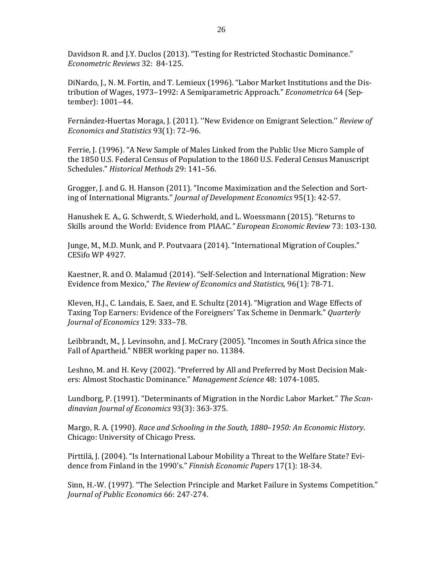Davidson R. and J.Y. Duclos (2013). "Testing for Restricted Stochastic Dominance." *Econometric Reviews* 32: 84‐125. 

DiNardo, J., N. M. Fortin, and T. Lemieux (1996). "Labor Market Institutions and the Distribution of Wages, 1973–1992: A Semiparametric Approach." *Econometrica* 64 (September): 1001–44. 

Fernández-Huertas Moraga, J. (2011). "New Evidence on Emigrant Selection." Review of *Economics and Statistics* 93(1): 72–96. 

Ferrie, J. (1996). "A New Sample of Males Linked from the Public Use Micro Sample of the 1850 U.S. Federal Census of Population to the 1860 U.S. Federal Census Manuscript Schedules." *Historical Methods* 29: 141–56. 

Grogger, J. and G. H. Hanson (2011). "Income Maximization and the Selection and Sorting of International Migrants." *Journal of Development Economics* 95(1): 42-57.

Hanushek E. A., G. Schwerdt, S. Wiederhold, and L. Woessmann (2015). "Returns to Skills around the World: Evidence from PIAAC." *European Economic Review* 73: 103-130.

Junge, M., M.D. Munk, and P. Poutvaara (2014). "International Migration of Couples." CESifo WP 4927.

Kaestner, R. and O. Malamud (2014). "Self-Selection and International Migration: New Evidence from Mexico," *The Review of Economics and Statistics,* 96(1): 78‐71. 

Kleven, H.J., C. Landais, E. Saez, and E. Schultz (2014). "Migration and Wage Effects of Taxing Top Earners: Evidence of the Foreigners' Tax Scheme in Denmark." *Quarterly Journal of Economics* 129: 333–78. 

Leibbrandt, M., J. Levinsohn, and J. McCrary (2005). "Incomes in South Africa since the Fall of Apartheid." NBER working paper no. 11384.

Leshno, M. and H. Kevy (2002). "Preferred by All and Preferred by Most Decision Makers: Almost Stochastic Dominance." Management Science 48: 1074-1085.

Lundborg, P. (1991). "Determinants of Migration in the Nordic Labor Market." *The Scandinavian Journal of Economics* 93(3): 363‐375. 

Margo, R. A. (1990). *Race and Schooling in the South, 1880*–*1950: An Economic History*. Chicago: University of Chicago Press.

Pirttilä, J. (2004). "Is International Labour Mobility a Threat to the Welfare State? Evidence from Finland in the 1990's." *Finnish Economic Papers* 17(1): 18-34.

Sinn, H.-W. (1997). "The Selection Principle and Market Failure in Systems Competition." *Journal of Public Economics* 66: 247‐274.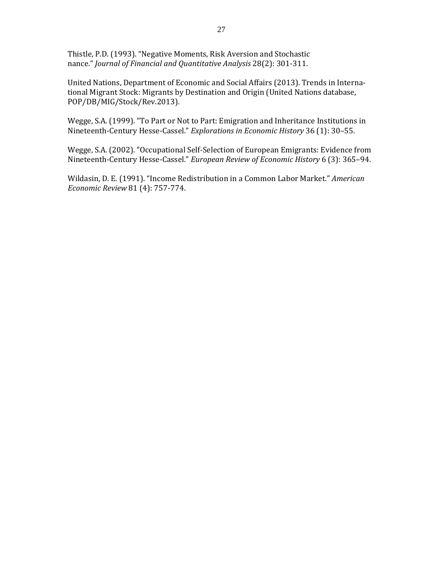Thistle, P.D. (1993). "Negative Moments, Risk Aversion and Stochastic nance." *Journal of Financial and Quantitative Analysis* 28(2): 301‐311. 

United Nations, Department of Economic and Social Affairs (2013). Trends in International Migrant Stock: Migrants by Destination and Origin (United Nations database, POP/DB/MIG/Stock/Rev.2013). 

Wegge, S.A. (1999). "To Part or Not to Part: Emigration and Inheritance Institutions in Nineteenth‐Century Hesse‐Cassel." *Explorations in Economic History* 36 (1): 30–55. 

Wegge, S.A. (2002). "Occupational Self-Selection of European Emigrants: Evidence from Nineteenth‐Century Hesse‐Cassel." *European Review of Economic History* 6 (3): 365–94. 

Wildasin, D. E. (1991). "Income Redistribution in a Common Labor Market." American *Economic Review* 81 (4): 757‐774.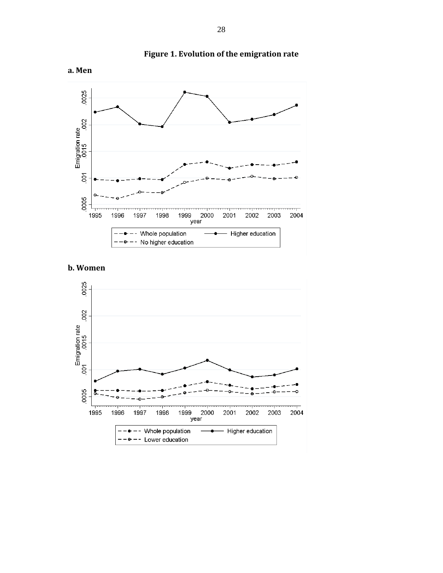

### **Figure 1. Evolution of the emigration rate**

### **b. Women**

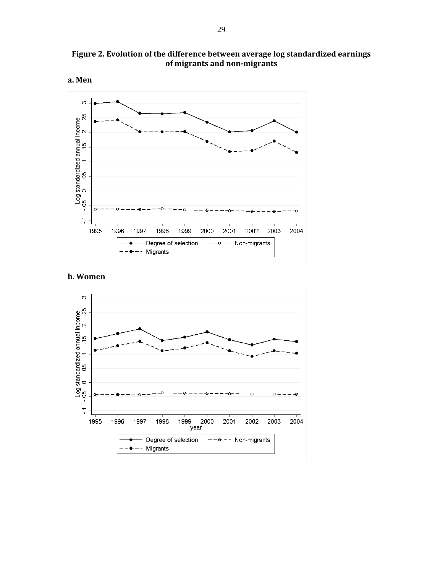



#### **b. Women**

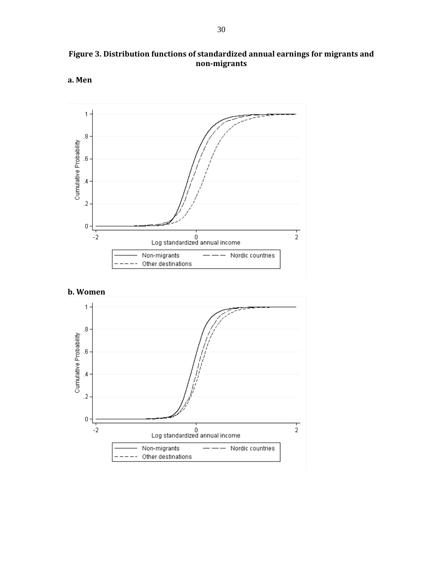

**Figure 3. Distribution functions of standardized annual earnings for migrants and non‐migrants**



**a. Men**

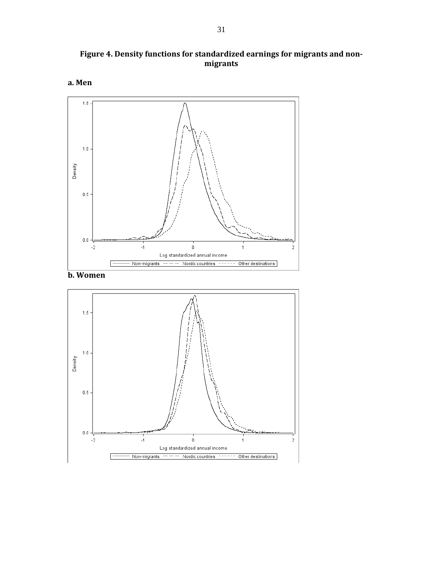**Figure 4. Density functions for standardized earnings for migrants and non‐ migrants**





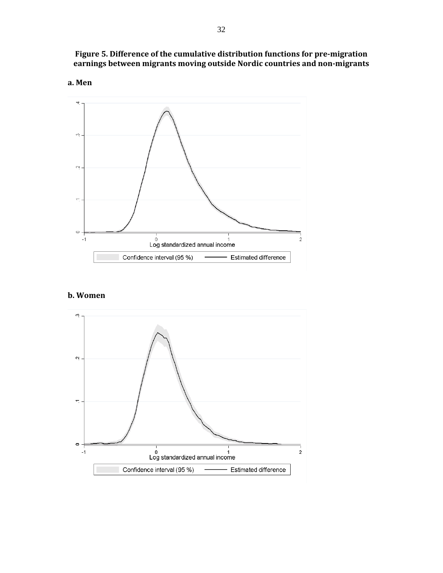**Figure 5. Difference of the cumulative distribution functions for pre‐migration earnings between migrants moving outside Nordic countries and non‐migrants**





### **b.** Women

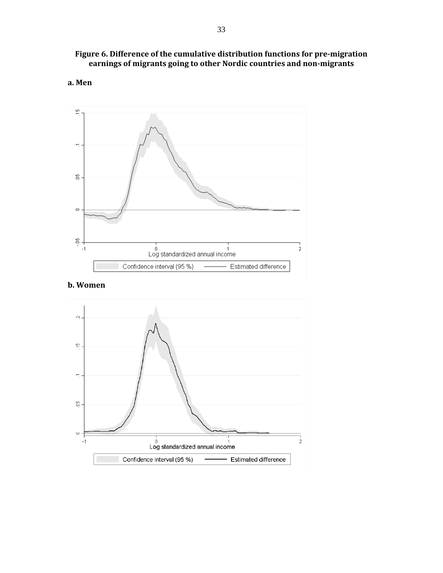#### **Figure 6. Difference of the cumulative distribution functions for pre‐migration earnings of migrants going to other Nordic countries and non‐migrants**







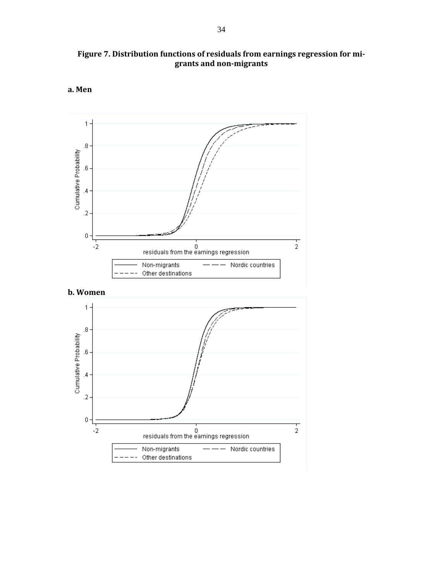







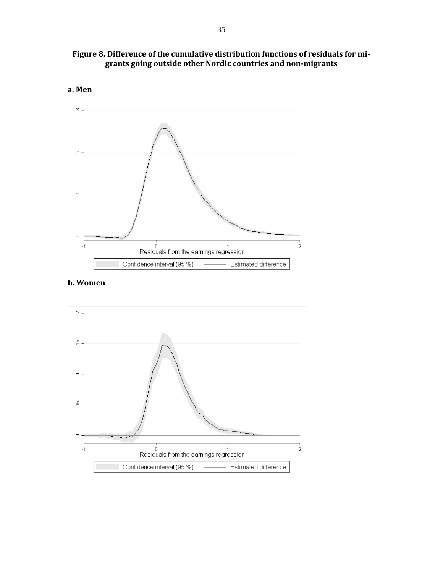





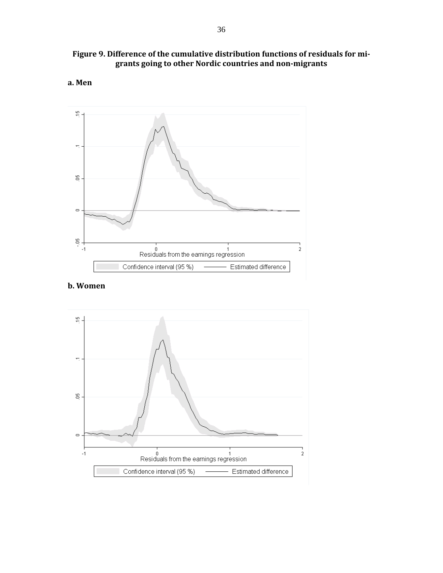







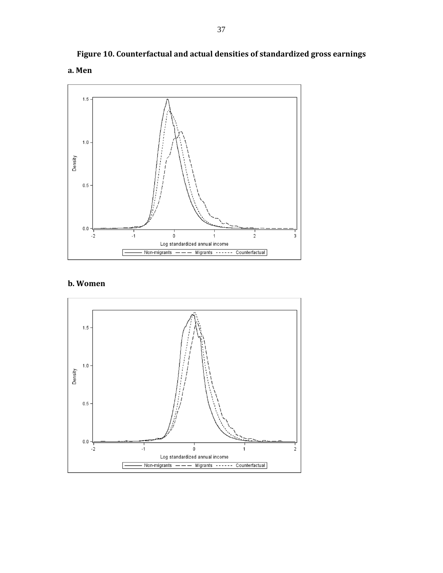

# **Figure 10. Counterfactual and actual densities of standardized gross earnings**



**a. Men**

### **b. Women**

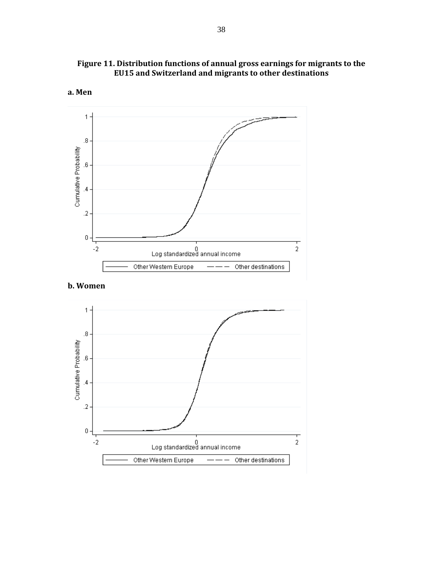



38



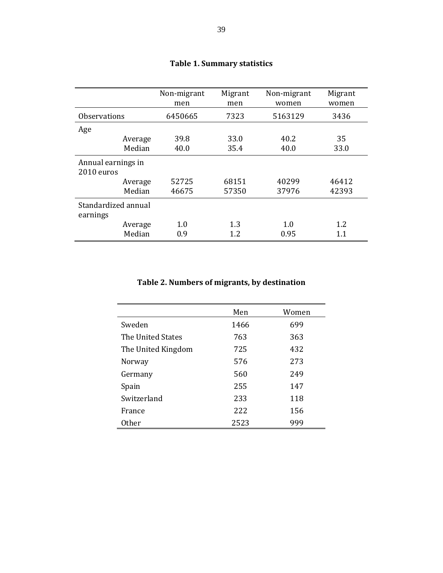|                                 | Non-migrant<br>men | Migrant<br>men | Non-migrant<br>women | Migrant<br>women |
|---------------------------------|--------------------|----------------|----------------------|------------------|
| <b>Observations</b>             | 6450665            | 7323           | 5163129              | 3436             |
| Age                             |                    |                |                      |                  |
| Average                         | 39.8               | 33.0           | 40.2                 | 35               |
| Median                          | 40.0               | 35.4           | 40.0                 | 33.0             |
| Annual earnings in              |                    |                |                      |                  |
| 2010 euros                      |                    |                |                      |                  |
| Average                         | 52725              | 68151          | 40299                | 46412            |
| Median                          | 46675              | 57350          | 37976                | 42393            |
| Standardized annual<br>earnings |                    |                |                      |                  |
| Average                         | 1.0                | 1.3            | 1.0                  | 1.2              |
| Median                          | 0.9                | 1.2            | 0.95                 | 1.1              |

# **Table 1. Summary statistics**

# **Table 2. Numbers of migrants, by destination**

|                    | Men  | Women |
|--------------------|------|-------|
| Sweden             | 1466 | 699   |
| The United States  | 763  | 363   |
| The United Kingdom | 725  | 432   |
| Norway             | 576  | 273   |
| Germany            | 560  | 249   |
| Spain              | 255  | 147   |
| Switzerland        | 233  | 118   |
| France             | 222  | 156   |
| Other              | 2523 | 999   |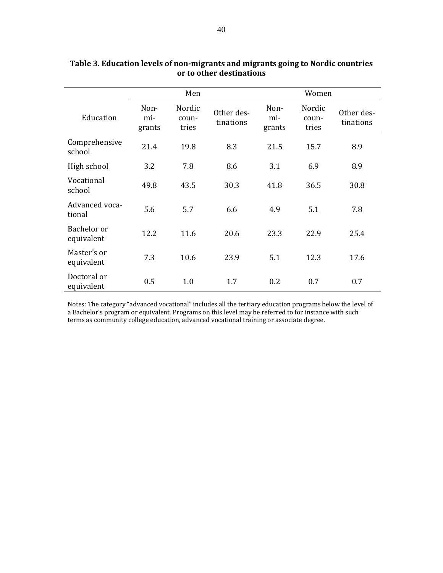|                           |                       | Men                      |                         |                       | Women                    |                         |
|---------------------------|-----------------------|--------------------------|-------------------------|-----------------------|--------------------------|-------------------------|
| Education                 | Non-<br>mi-<br>grants | Nordic<br>coun-<br>tries | Other des-<br>tinations | Non-<br>mi-<br>grants | Nordic<br>coun-<br>tries | Other des-<br>tinations |
| Comprehensive<br>school   | 21.4                  | 19.8                     | 8.3                     | 21.5                  | 15.7                     | 8.9                     |
| High school               | 3.2                   | 7.8                      | 8.6                     | 3.1                   | 6.9                      | 8.9                     |
| Vocational<br>school      | 49.8                  | 43.5                     | 30.3                    | 41.8                  | 36.5                     | 30.8                    |
| Advanced voca-<br>tional  | 5.6                   | 5.7                      | 6.6                     | 4.9                   | 5.1                      | 7.8                     |
| Bachelor or<br>equivalent | 12.2                  | 11.6                     | 20.6                    | 23.3                  | 22.9                     | 25.4                    |
| Master's or<br>equivalent | 7.3                   | 10.6                     | 23.9                    | 5.1                   | 12.3                     | 17.6                    |
| Doctoral or<br>equivalent | 0.5                   | 1.0                      | 1.7                     | 0.2                   | 0.7                      | 0.7                     |

### **Table 3. Education levels of non‐migrants and migrants going to Nordic countries or to other destinations**

Notes: The category "advanced vocational" includes all the tertiary education programs below the level of a Bachelor's program or equivalent. Programs on this level may be referred to for instance with such terms as community college education, advanced vocational training or associate degree.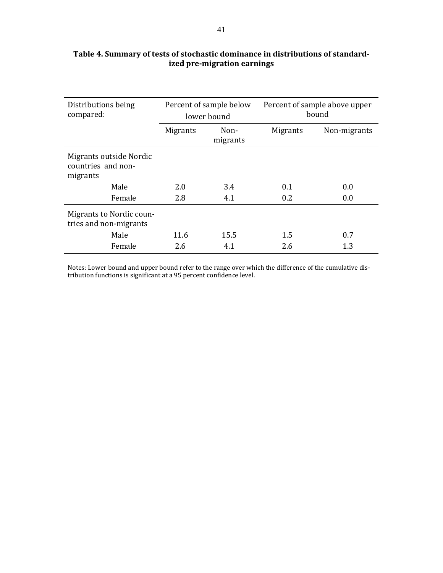| Distributions being<br>compared:                          | Percent of sample below<br>lower bound |                  | Percent of sample above upper<br>bound |              |
|-----------------------------------------------------------|----------------------------------------|------------------|----------------------------------------|--------------|
|                                                           | <b>Migrants</b>                        | Non-<br>migrants | <b>Migrants</b>                        | Non-migrants |
| Migrants outside Nordic<br>countries and non-<br>migrants |                                        |                  |                                        |              |
| Male                                                      | 2.0                                    | 3.4              | 0.1                                    | 0.0          |
| Female                                                    | 2.8                                    | 4.1              | 0.2                                    | 0.0          |
| Migrants to Nordic coun-<br>tries and non-migrants        |                                        |                  |                                        |              |
| Male                                                      | 11.6                                   | 15.5             | 1.5                                    | 0.7          |
| Female                                                    | 2.6                                    | 4.1              | 2.6                                    | 1.3          |

### **Table 4. Summary of tests of stochastic dominance in distributions of standard‐ ized pre‐migration earnings**

Notes: Lower bound and upper bound refer to the range over which the difference of the cumulative distribution functions is significant at a 95 percent confidence level.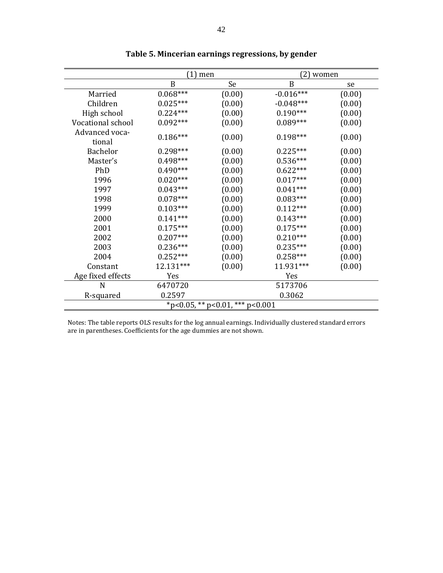|                                 | (1) men    |        | 21          | women  |  |  |
|---------------------------------|------------|--------|-------------|--------|--|--|
|                                 | B          | Se     | B           | se     |  |  |
| Married                         | $0.068***$ | (0.00) | $-0.016***$ | (0.00) |  |  |
| Children                        | $0.025***$ | (0.00) | $-0.048***$ | (0.00) |  |  |
| High school                     | $0.224***$ | (0.00) | $0.190***$  | (0.00) |  |  |
| Vocational school               | $0.092***$ | (0.00) | $0.089***$  | (0.00) |  |  |
| Advanced voca-<br>tional        | $0.186***$ | (0.00) | $0.198***$  | (0.00) |  |  |
| <b>Bachelor</b>                 | $0.298***$ | (0.00) | $0.225***$  | (0.00) |  |  |
| Master's                        | $0.498***$ | (0.00) | $0.536***$  | (0.00) |  |  |
| PhD                             | $0.490***$ | (0.00) | $0.622***$  | (0.00) |  |  |
| 1996                            | $0.020***$ | (0.00) | $0.017***$  | (0.00) |  |  |
| 1997                            | $0.043***$ | (0.00) | $0.041***$  | (0.00) |  |  |
| 1998                            | $0.078***$ | (0.00) | $0.083***$  | (0.00) |  |  |
| 1999                            | $0.103***$ | (0.00) | $0.112***$  | (0.00) |  |  |
| 2000                            | $0.141***$ | (0.00) | $0.143***$  | (0.00) |  |  |
| 2001                            | $0.175***$ | (0.00) | $0.175***$  | (0.00) |  |  |
| 2002                            | $0.207***$ | (0.00) | $0.210***$  | (0.00) |  |  |
| 2003                            | $0.236***$ | (0.00) | $0.235***$  | (0.00) |  |  |
| 2004                            | $0.252***$ | (0.00) | $0.258***$  | (0.00) |  |  |
| Constant                        | 12.131***  | (0.00) | 11.931***   | (0.00) |  |  |
| Age fixed effects               | Yes        |        | Yes         |        |  |  |
| N                               | 6470720    |        | 5173706     |        |  |  |
| R-squared                       | 0.2597     |        | 0.3062      |        |  |  |
| *p<0.05, ** p<0.01, *** p<0.001 |            |        |             |        |  |  |

|  | Table 5. Mincerian earnings regressions, by gender |  |
|--|----------------------------------------------------|--|
|  |                                                    |  |

Notes: The table reports OLS results for the log annual earnings. Individually clustered standard errors are in parentheses. Coefficients for the age dummies are not shown.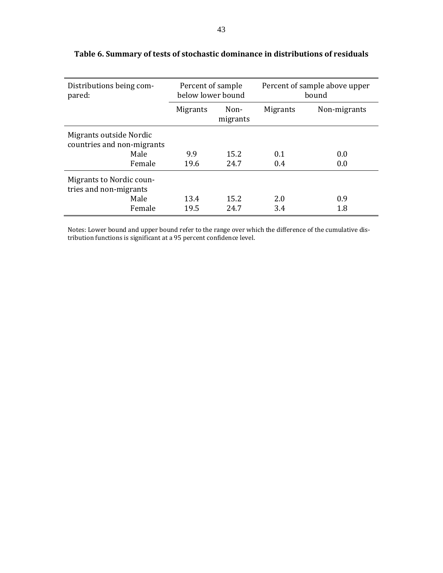| Distributions being com-<br>pared:                    | Percent of sample<br>below lower bound |                  | Percent of sample above upper<br>bound |              |
|-------------------------------------------------------|----------------------------------------|------------------|----------------------------------------|--------------|
|                                                       | <b>Migrants</b>                        | Non-<br>migrants | <b>Migrants</b>                        | Non-migrants |
| Migrants outside Nordic<br>countries and non-migrants |                                        |                  |                                        |              |
| Male                                                  | 9.9                                    | 15.2             | 0.1                                    | 0.0          |
| Female                                                | 19.6                                   | 24.7             | 0.4                                    | 0.0          |
| Migrants to Nordic coun-<br>tries and non-migrants    |                                        |                  |                                        |              |
| Male                                                  | 13.4                                   | 15.2             | 2.0                                    | 0.9          |
| Female                                                | 19.5                                   | 24.7             | 3.4                                    | 1.8          |

# **Table 6. Summary of tests of stochastic dominance in distributions of residuals**

Notes: Lower bound and upper bound refer to the range over which the difference of the cumulative distribution functions is significant at a 95 percent confidence level.